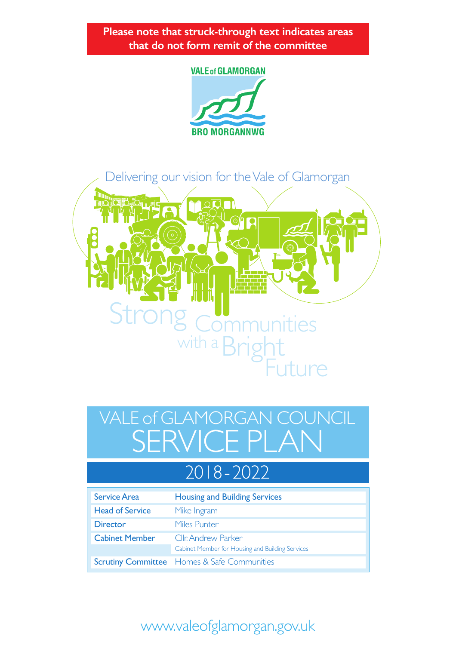**Please note that struck-through text indicates areas that do not form remit of the committee**

#### **VALE of GLAMORGAN**





# SERVICE PLAN VALE of GLAMORGAN COUNCIL

## 2018 - 2022

| <b>Service Area</b>       | <b>Housing and Building Services</b>             |
|---------------------------|--------------------------------------------------|
| <b>Head of Service</b>    | Mike Ingram                                      |
| <b>Director</b>           | Miles Punter                                     |
| <b>Cabinet Member</b>     | Cllr. Andrew Parker                              |
|                           | Cabinet Member for Housing and Building Services |
| <b>Scrutiny Committee</b> | Homes & Safe Communities                         |

## www.valeofglamorgan.gov.uk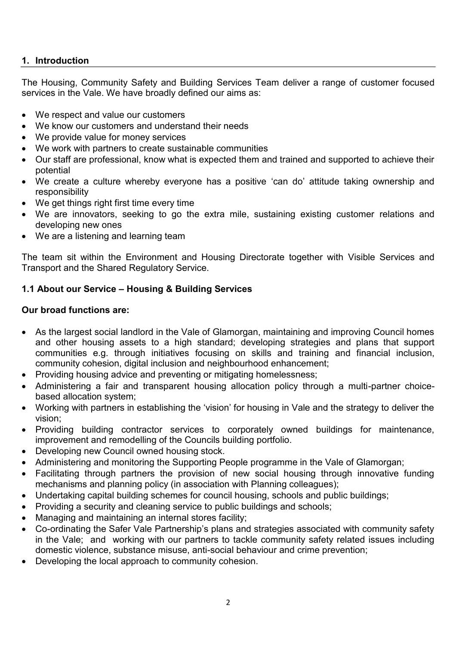#### **1. Introduction**

The Housing, Community Safety and Building Services Team deliver a range of customer focused services in the Vale. We have broadly defined our aims as:

- We respect and value our customers
- We know our customers and understand their needs
- We provide value for money services
- We work with partners to create sustainable communities
- Our staff are professional, know what is expected them and trained and supported to achieve their potential
- We create a culture whereby everyone has a positive 'can do' attitude taking ownership and responsibility
- We get things right first time every time
- We are innovators, seeking to go the extra mile, sustaining existing customer relations and developing new ones
- We are a listening and learning team

The team sit within the Environment and Housing Directorate together with Visible Services and Transport and the Shared Regulatory Service.

#### **1.1 About our Service – Housing & Building Services**

#### **Our broad functions are:**

- As the largest social landlord in the Vale of Glamorgan, maintaining and improving Council homes and other housing assets to a high standard; developing strategies and plans that support communities e.g. through initiatives focusing on skills and training and financial inclusion, community cohesion, digital inclusion and neighbourhood enhancement;
- Providing housing advice and preventing or mitigating homelessness;
- Administering a fair and transparent housing allocation policy through a multi-partner choicebased allocation system;
- Working with partners in establishing the 'vision' for housing in Vale and the strategy to deliver the vision;
- Providing building contractor services to corporately owned buildings for maintenance, improvement and remodelling of the Councils building portfolio.
- Developing new Council owned housing stock.
- Administering and monitoring the Supporting People programme in the Vale of Glamorgan;
- Facilitating through partners the provision of new social housing through innovative funding mechanisms and planning policy (in association with Planning colleagues);
- Undertaking capital building schemes for council housing, schools and public buildings;
- Providing a security and cleaning service to public buildings and schools;
- Managing and maintaining an internal stores facility;
- Co-ordinating the Safer Vale Partnership's plans and strategies associated with community safety in the Vale; and working with our partners to tackle community safety related issues including domestic violence, substance misuse, anti-social behaviour and crime prevention;
- Developing the local approach to community cohesion.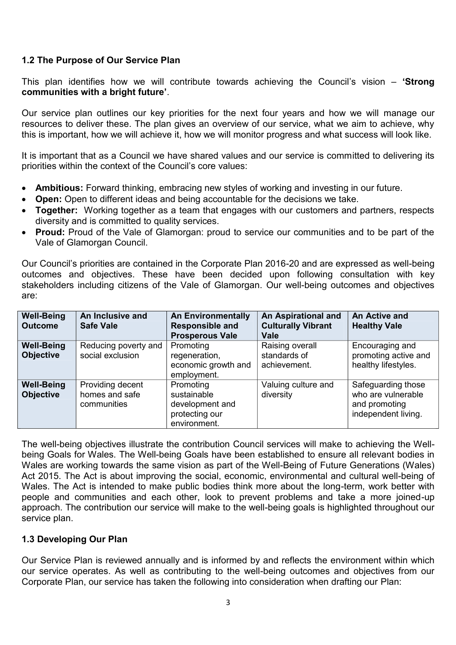#### **1.2 The Purpose of Our Service Plan**

This plan identifies how we will contribute towards achieving the Council's vision – **'Strong communities with a bright future'**.

Our service plan outlines our key priorities for the next four years and how we will manage our resources to deliver these. The plan gives an overview of our service, what we aim to achieve, why this is important, how we will achieve it, how we will monitor progress and what success will look like.

It is important that as a Council we have shared values and our service is committed to delivering its priorities within the context of the Council's core values:

- **Ambitious:** Forward thinking, embracing new styles of working and investing in our future.
- **Open:** Open to different ideas and being accountable for the decisions we take.
- **Together:** Working together as a team that engages with our customers and partners, respects diversity and is committed to quality services.
- **Proud:** Proud of the Vale of Glamorgan: proud to service our communities and to be part of the Vale of Glamorgan Council.

Our Council's priorities are contained in the Corporate Plan 2016-20 and are expressed as well-being outcomes and objectives. These have been decided upon following consultation with key stakeholders including citizens of the Vale of Glamorgan. Our well-being outcomes and objectives are:

| <b>Well-Being</b><br><b>Outcome</b>   | An Inclusive and<br><b>Safe Vale</b>              | <b>An Environmentally</b><br><b>Responsible and</b><br><b>Prosperous Vale</b> | An Aspirational and<br><b>Culturally Vibrant</b><br><b>Vale</b> | An Active and<br><b>Healthy Vale</b>                                             |
|---------------------------------------|---------------------------------------------------|-------------------------------------------------------------------------------|-----------------------------------------------------------------|----------------------------------------------------------------------------------|
| <b>Well-Being</b><br><b>Objective</b> | Reducing poverty and<br>social exclusion          | Promoting<br>regeneration,<br>economic growth and<br>employment.              | Raising overall<br>standards of<br>achievement.                 | Encouraging and<br>promoting active and<br>healthy lifestyles.                   |
| <b>Well-Being</b><br><b>Objective</b> | Providing decent<br>homes and safe<br>communities | Promoting<br>sustainable<br>development and<br>protecting our<br>environment. | Valuing culture and<br>diversity                                | Safeguarding those<br>who are vulnerable<br>and promoting<br>independent living. |

The well-being objectives illustrate the contribution Council services will make to achieving the Wellbeing Goals for Wales. The Well-being Goals have been established to ensure all relevant bodies in Wales are working towards the same vision as part of the Well-Being of Future Generations (Wales) Act 2015. The Act is about improving the social, economic, environmental and cultural well-being of Wales. The Act is intended to make public bodies think more about the long-term, work better with people and communities and each other, look to prevent problems and take a more joined-up approach. The contribution our service will make to the well-being goals is highlighted throughout our service plan.

#### **1.3 Developing Our Plan**

Our Service Plan is reviewed annually and is informed by and reflects the environment within which our service operates. As well as contributing to the well-being outcomes and objectives from our Corporate Plan, our service has taken the following into consideration when drafting our Plan: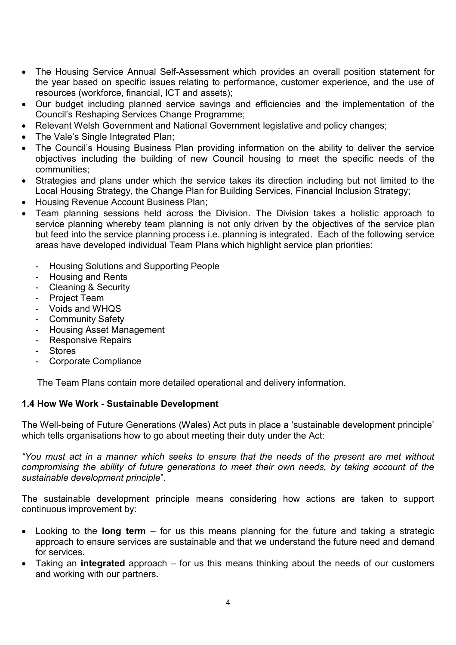- The Housing Service Annual Self-Assessment which provides an overall position statement for the year based on specific issues relating to performance, customer experience, and the use of resources (workforce, financial, ICT and assets);
- Our budget including planned service savings and efficiencies and the implementation of the Council's Reshaping Services Change Programme;
- Relevant Welsh Government and National Government legislative and policy changes:
- The Vale's Single Integrated Plan;
- The Council's Housing Business Plan providing information on the ability to deliver the service objectives including the building of new Council housing to meet the specific needs of the communities;
- Strategies and plans under which the service takes its direction including but not limited to the Local Housing Strategy, the Change Plan for Building Services, Financial Inclusion Strategy;
- Housing Revenue Account Business Plan;
- Team planning sessions held across the Division. The Division takes a holistic approach to service planning whereby team planning is not only driven by the objectives of the service plan but feed into the service planning process i.e. planning is integrated. Each of the following service areas have developed individual Team Plans which highlight service plan priorities:
	- Housing Solutions and Supporting People
	- Housing and Rents
	- Cleaning & Security
	- Project Team
	- Voids and WHQS
	- Community Safety
	- Housing Asset Management
	- Responsive Repairs
	- **Stores**
	- Corporate Compliance

The Team Plans contain more detailed operational and delivery information.

#### **1.4 How We Work - Sustainable Development**

The Well-being of Future Generations (Wales) Act puts in place a 'sustainable development principle' which tells organisations how to go about meeting their duty under the Act:

*"You must act in a manner which seeks to ensure that the needs of the present are met without compromising the ability of future generations to meet their own needs, by taking account of the sustainable development principle*".

The sustainable development principle means considering how actions are taken to support continuous improvement by:

- Looking to the **long term**  for us this means planning for the future and taking a strategic approach to ensure services are sustainable and that we understand the future need and demand for services.
- Taking an **integrated** approach for us this means thinking about the needs of our customers and working with our partners.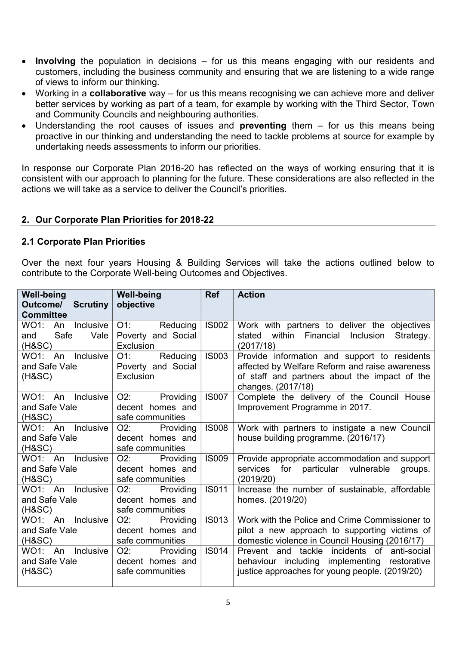- **Involving** the population in decisions for us this means engaging with our residents and customers, including the business community and ensuring that we are listening to a wide range of views to inform our thinking.
- Working in a **collaborative** way for us this means recognising we can achieve more and deliver better services by working as part of a team, for example by working with the Third Sector, Town and Community Councils and neighbouring authorities.
- Understanding the root causes of issues and **preventing** them for us this means being proactive in our thinking and understanding the need to tackle problems at source for example by undertaking needs assessments to inform our priorities.

In response our Corporate Plan 2016-20 has reflected on the ways of working ensuring that it is consistent with our approach to planning for the future. These considerations are also reflected in the actions we will take as a service to deliver the Council's priorities.

#### **2. Our Corporate Plan Priorities for 2018-22**

#### **2.1 Corporate Plan Priorities**

Over the next four years Housing & Building Services will take the actions outlined below to contribute to the Corporate Well-being Outcomes and Objectives.

| <b>Well-being</b><br><b>Outcome/ Scrutiny</b><br><b>Committee</b> | <b>Well-being</b><br>objective                              | <b>Ref</b>                                                                                           | <b>Action</b>                                                                                                                                                         |
|-------------------------------------------------------------------|-------------------------------------------------------------|------------------------------------------------------------------------------------------------------|-----------------------------------------------------------------------------------------------------------------------------------------------------------------------|
| WO1: An<br>Inclusive<br>Value  <br>Safe<br>and<br>(H&SC)          | $O1$ :<br>Reducing<br>Poverty and Social<br>Exclusion       | <b>IS002</b>                                                                                         | Work with partners to deliver the objectives<br>within Financial<br>Inclusion<br>stated<br>Strategy.<br>(2017/18)                                                     |
| WO1: An Inclusive<br>and Safe Vale<br>$(H\&SC)$                   | $O1$ :<br>Reducing<br>Poverty and Social<br>Exclusion       | <b>IS003</b>                                                                                         | Provide information and support to residents<br>affected by Welfare Reform and raise awareness<br>of staff and partners about the impact of the<br>changes. (2017/18) |
| WO1: An Inclusive<br>and Safe Vale<br>(H&SC)                      | O2:<br>Providing<br>decent homes and<br>safe communities    | <b>IS007</b>                                                                                         | Complete the delivery of the Council House<br>Improvement Programme in 2017.                                                                                          |
| WO1: An Inclusive<br>and Safe Vale<br>(H&SC)                      | $O2$ :<br>Providing<br>decent homes and<br>safe communities | <b>IS008</b><br>Work with partners to instigate a new Council<br>house building programme. (2016/17) |                                                                                                                                                                       |
| WO1: An Inclusive<br>and Safe Vale<br>(H&SC)                      | $O2$ :<br>Providing<br>decent homes and<br>safe communities | <b>IS009</b>                                                                                         | Provide appropriate accommodation and support<br>services for particular vulnerable<br>groups.<br>(2019/20)                                                           |
| WO1: An<br>Inclusive<br>and Safe Vale<br>(H&SC)                   | $O2$ :<br>Providing<br>decent homes and<br>safe communities | <b>IS011</b>                                                                                         | Increase the number of sustainable, affordable<br>homes. (2019/20)                                                                                                    |
| Inclusive<br>WO1: An<br>and Safe Vale<br>(H&SC)                   | $O2$ :<br>Providing<br>decent homes and<br>safe communities | <b>IS013</b>                                                                                         | Work with the Police and Crime Commissioner to<br>pilot a new approach to supporting victims of<br>domestic violence in Council Housing (2016/17)                     |
| Inclusive<br>WO1: An<br>and Safe Vale<br>$(H\&SC)$                | O2:<br>Providing<br>decent homes and<br>safe communities    | <b>IS014</b>                                                                                         | Prevent and tackle<br>incidents of<br>anti-social<br>behaviour including implementing restorative<br>justice approaches for young people. (2019/20)                   |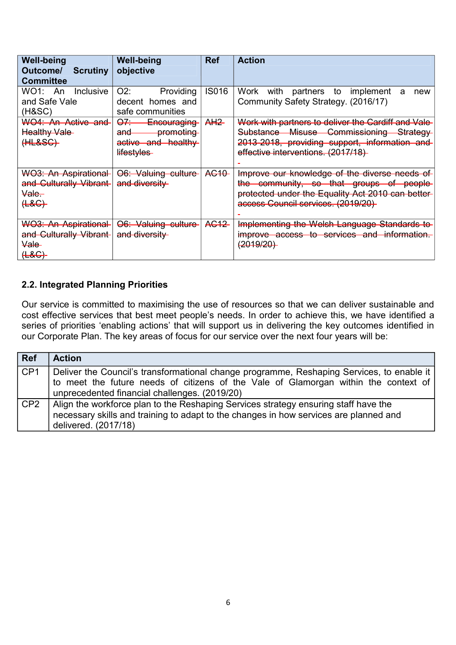| <b>Well-being</b><br>Outcome/<br><b>Scrutiny</b><br><b>Committee</b>                       | <b>Well-being</b><br>objective                                                         | Ref              | <b>Action</b>                                                                                                                                                                               |
|--------------------------------------------------------------------------------------------|----------------------------------------------------------------------------------------|------------------|---------------------------------------------------------------------------------------------------------------------------------------------------------------------------------------------|
| Inclusive<br>WO1:<br>An<br>and Safe Vale<br>(H&SC)                                         | $O2$ :<br>Providing<br>decent homes and<br>safe communities                            | <b>IS016</b>     | Work<br>with partners to<br>implement<br>new<br>a<br>Community Safety Strategy. (2016/17)                                                                                                   |
| WO4: An Active and<br><b>Healthy Vale-</b><br>(HLESC)                                      | <del>07 -</del><br>Encouraging<br>promoting<br>and<br>active and healthy<br>lifestyles | A <sub>H2</sub>  | Work with partners to deliver the Cardiff and Vale-<br>Substance Misuse<br>Commissioning<br>Strategy<br>2013-2018, providing support, information and<br>effective interventions. (2017/18) |
| <b>WO3: An Aspirational</b><br>and Culturally Vibrant-<br><del>Vale</del><br>( <b>48</b> ) | O6: Valuing culture<br>and diversity                                                   | AC <sub>10</sub> | Improve our knowledge of the diverse needs of<br>the community, so that groups of people<br>protected under the Equality Act 2010 can better<br>access Council services. (2019/20)          |
| <b>WO3: An Aspirational</b><br>and Culturally Vibrant-<br><del>Vale</del><br>(HAC)         | <del>O6: Valuing culture</del><br>and diversity                                        | AG12             | Implementing the Welsh Language Standards to<br>improve access to services and information.<br>(2019/20)                                                                                    |

#### **2.2. Integrated Planning Priorities**

Our service is committed to maximising the use of resources so that we can deliver sustainable and cost effective services that best meet people's needs. In order to achieve this, we have identified a series of priorities 'enabling actions' that will support us in delivering the key outcomes identified in our Corporate Plan. The key areas of focus for our service over the next four years will be:

| <b>Ref</b>      | <b>Action</b>                                                                                                                                                                                                                     |
|-----------------|-----------------------------------------------------------------------------------------------------------------------------------------------------------------------------------------------------------------------------------|
| CP <sub>1</sub> | Deliver the Council's transformational change programme, Reshaping Services, to enable it<br>to meet the future needs of citizens of the Vale of Glamorgan within the context of<br>unprecedented financial challenges. (2019/20) |
| CP <sub>2</sub> | Align the workforce plan to the Reshaping Services strategy ensuring staff have the<br>necessary skills and training to adapt to the changes in how services are planned and<br>delivered. (2017/18)                              |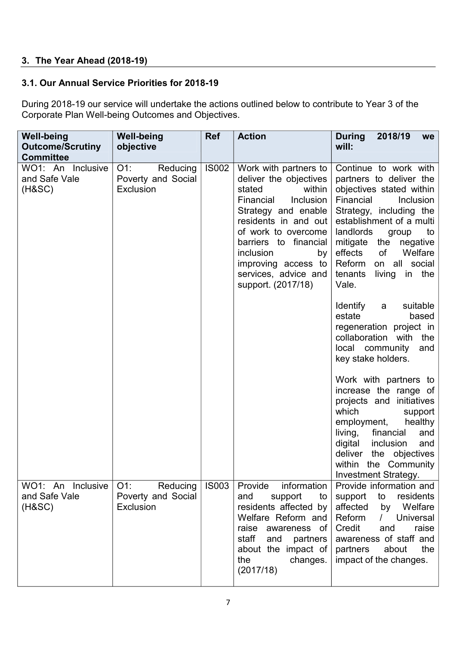#### **3. The Year Ahead (2018-19)**

#### **3.1. Our Annual Service Priorities for 2018-19**

During 2018-19 our service will undertake the actions outlined below to contribute to Year 3 of the Corporate Plan Well-being Outcomes and Objectives.

| <b>Well-being</b><br><b>Outcome/Scrutiny</b><br><b>Committee</b> | <b>Well-being</b><br>objective                        | <b>Ref</b>   | <b>Action</b>                                                                                                                                                                                                                                                                        | <b>During</b><br>2018/19<br>we<br>will:                                                                                                                                                                                                                                                                              |
|------------------------------------------------------------------|-------------------------------------------------------|--------------|--------------------------------------------------------------------------------------------------------------------------------------------------------------------------------------------------------------------------------------------------------------------------------------|----------------------------------------------------------------------------------------------------------------------------------------------------------------------------------------------------------------------------------------------------------------------------------------------------------------------|
| WO1: An Inclusive<br>and Safe Vale<br>(H&SC)                     | $O1$ :<br>Reducing<br>Poverty and Social<br>Exclusion | <b>IS002</b> | Work with partners to<br>deliver the objectives<br>stated<br>within<br>Financial<br>Inclusion<br>Strategy and enable<br>residents in and out<br>of work to overcome<br>barriers to financial<br>inclusion<br>by<br>improving access to<br>services, advice and<br>support. (2017/18) | Continue to work with<br>partners to deliver the<br>objectives stated within<br>Financial<br>Inclusion<br>Strategy, including the<br>establishment of a multi<br>landlords<br>group<br>to<br>mitigate<br>the negative<br>effects<br>of<br>Welfare<br>Reform<br>on all social<br>tenants<br>in the<br>living<br>Vale. |
|                                                                  |                                                       |              |                                                                                                                                                                                                                                                                                      | suitable<br>Identify<br>a<br>estate<br>based<br>regeneration project in<br>collaboration with the<br>local community<br>and<br>key stake holders.                                                                                                                                                                    |
|                                                                  |                                                       |              |                                                                                                                                                                                                                                                                                      | Work with partners to<br>increase the range of<br>projects and initiatives<br>which<br>support<br>employment, healthy<br>living,<br>financial<br>and<br>digital<br>inclusion<br>and<br>deliver<br>the objectives<br>within the Community<br><b>Investment Strategy.</b>                                              |
| WO1: An Inclusive<br>and Safe Vale<br>(H&SC)                     | $O1$ :<br>Reducing<br>Poverty and Social<br>Exclusion | <b>IS003</b> | Provide<br>information<br>and<br>support<br>to<br>residents affected by<br>Welfare Reform and<br>raise awareness of<br>staff<br>and<br>partners<br>about the impact of<br>the<br>changes.<br>(2017/18)                                                                               | Provide information and<br>residents<br>support<br>to<br>affected<br>Welfare<br>by<br>Reform<br><b>Universal</b><br>$\sqrt{ }$<br>Credit<br>raise<br>and<br>awareness of staff and<br>partners<br>about<br>the<br>impact of the changes.                                                                             |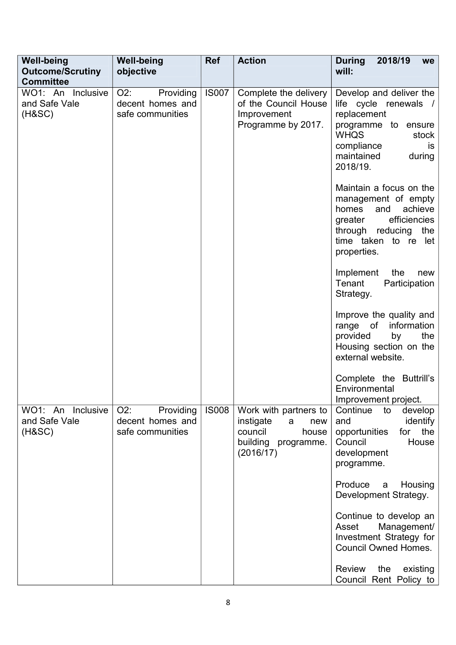| <b>Well-being</b><br><b>Outcome/Scrutiny</b><br><b>Committee</b> | <b>Well-being</b><br>objective                              | <b>Ref</b>   | <b>Action</b>                                                                                          | <b>During</b><br>2018/19<br>we<br>will:                                                                                                                                   |
|------------------------------------------------------------------|-------------------------------------------------------------|--------------|--------------------------------------------------------------------------------------------------------|---------------------------------------------------------------------------------------------------------------------------------------------------------------------------|
| WO1: An Inclusive<br>and Safe Vale<br>(HASC)                     | O2:<br>Providing<br>decent homes and<br>safe communities    | <b>IS007</b> | Complete the delivery<br>of the Council House<br>Improvement<br>Programme by 2017.                     | Develop and deliver the<br>life cycle renewals /<br>replacement<br>programme to ensure<br><b>WHQS</b><br>stock<br>compliance<br>is<br>maintained<br>during<br>2018/19.    |
|                                                                  |                                                             |              |                                                                                                        | Maintain a focus on the<br>management of empty<br>achieve<br>homes<br>and<br>efficiencies<br>greater<br>the<br>through reducing<br>time taken to re<br>let<br>properties. |
|                                                                  |                                                             |              |                                                                                                        | Implement<br>the<br>new<br>Tenant<br>Participation<br>Strategy.                                                                                                           |
|                                                                  |                                                             |              |                                                                                                        | Improve the quality and<br>of<br>information<br>range<br>provided<br>the<br>by<br>Housing section on the<br>external website.                                             |
|                                                                  |                                                             |              |                                                                                                        | Complete the Buttrill's<br>Environmental<br>Improvement project.                                                                                                          |
| WO1: An Inclusive<br>and Safe Vale<br>(HASC)                     | $O2$ :<br>Providing<br>decent homes and<br>safe communities | <b>IS008</b> | Work with partners to<br>instigate<br>new<br>a<br>council<br>house<br>building programme.<br>(2016/17) | Continue<br>develop<br>to<br>identify<br>and<br>the<br>opportunities<br>for<br>Council<br>House<br>development<br>programme.                                              |
|                                                                  |                                                             |              |                                                                                                        | Produce<br>Housing<br>a<br>Development Strategy.                                                                                                                          |
|                                                                  |                                                             |              |                                                                                                        | Continue to develop an<br>Management/<br>Asset<br>Investment Strategy for<br><b>Council Owned Homes.</b>                                                                  |
|                                                                  |                                                             |              |                                                                                                        | <b>Review</b><br>the<br>existing<br>Council Rent Policy to                                                                                                                |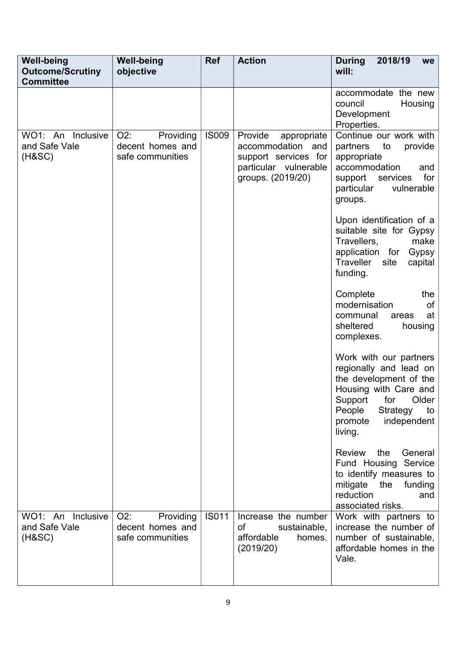| <b>Well-being</b><br><b>Outcome/Scrutiny</b><br><b>Committee</b> | <b>Well-being</b><br>objective                              | <b>Ref</b>   | <b>Action</b>                                                                                                     | <b>During</b><br>2018/19<br>we<br>will:                                                                                                                                                         |
|------------------------------------------------------------------|-------------------------------------------------------------|--------------|-------------------------------------------------------------------------------------------------------------------|-------------------------------------------------------------------------------------------------------------------------------------------------------------------------------------------------|
|                                                                  |                                                             |              |                                                                                                                   | accommodate the new<br>council<br>Housing<br>Development<br>Properties.                                                                                                                         |
| WO1: An Inclusive<br>and Safe Vale<br>(HASC)                     | $O2$ :<br>Providing<br>decent homes and<br>safe communities | <b>IS009</b> | Provide<br>appropriate<br>accommodation and<br>support services for<br>particular vulnerable<br>groups. (2019/20) | Continue our work with<br>partners<br>provide<br>to<br>appropriate<br>accommodation<br>and<br>for<br>support<br>services<br>vulnerable<br>particular<br>groups.                                 |
|                                                                  |                                                             |              |                                                                                                                   | Upon identification of a<br>suitable site for Gypsy<br>Travellers,<br>make<br>application for<br>Gypsy<br><b>Traveller</b><br>site<br>capital<br>funding.                                       |
|                                                                  |                                                             |              |                                                                                                                   | Complete<br>the<br>modernisation<br>of<br>communal<br>at<br>areas<br>sheltered<br>housing<br>complexes.                                                                                         |
|                                                                  |                                                             |              |                                                                                                                   | Work with our partners<br>regionally and lead on<br>the development of the<br>Housing with Care and<br>for<br>Older<br>Support<br>People<br>Strategy<br>to<br>promote<br>independent<br>living. |
|                                                                  |                                                             |              |                                                                                                                   | the<br>General<br><b>Review</b><br>Fund Housing Service<br>to identify measures to<br>mitigate<br>the<br>funding<br>reduction<br>and<br>associated risks.                                       |
| WO1: An Inclusive<br>and Safe Vale<br>(H&SC)                     | $O2$ :<br>Providing<br>decent homes and<br>safe communities | <b>IS011</b> | Increase the number<br>οf<br>sustainable,<br>affordable<br>homes.<br>(2019/20)                                    | Work with partners to<br>increase the number of<br>number of sustainable,<br>affordable homes in the<br>Vale.                                                                                   |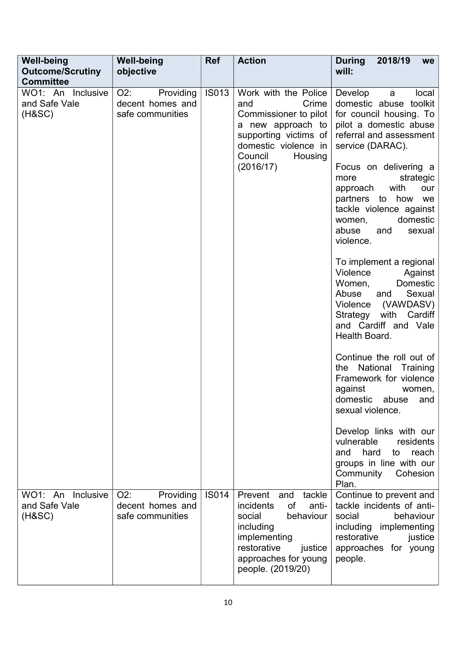| <b>Well-being</b><br><b>Outcome/Scrutiny</b><br><b>Committee</b> | <b>Well-being</b><br>objective                              | <b>Ref</b>   | <b>Action</b>                                                                                                                                                                       | 2018/19<br><b>During</b><br><b>we</b><br>will:                                                                                                                                               |
|------------------------------------------------------------------|-------------------------------------------------------------|--------------|-------------------------------------------------------------------------------------------------------------------------------------------------------------------------------------|----------------------------------------------------------------------------------------------------------------------------------------------------------------------------------------------|
| WO1: An Inclusive<br>and Safe Vale<br>$(H\&SC)$                  | $O2$ :<br>Providing<br>decent homes and<br>safe communities | <b>IS013</b> | Work with the Police<br>Crime<br>and<br>Commissioner to pilot<br>a new approach to<br>supporting victims of<br>domestic violence in<br>Council<br>Housing<br>(2016/17)              | local<br>Develop<br>a<br>domestic abuse toolkit<br>for council housing. To<br>pilot a domestic abuse<br>referral and assessment<br>service (DARAC).<br>Focus on delivering a                 |
|                                                                  |                                                             |              |                                                                                                                                                                                     | strategic<br>more<br>with<br>our<br>approach<br>partners to how<br>we<br>tackle violence against<br>domestic<br>women,<br>abuse<br>and<br>sexual<br>violence.                                |
|                                                                  |                                                             |              |                                                                                                                                                                                     | To implement a regional<br>Violence<br>Against<br>Women,<br>Domestic<br>Abuse<br>Sexual<br>and<br>(VAWDASV)<br>Violence<br>with Cardiff<br>Strategy<br>and Cardiff and Vale<br>Health Board. |
|                                                                  |                                                             |              |                                                                                                                                                                                     | Continue the roll out of<br>National<br>the<br>Training<br>Framework for violence<br>against<br>women,<br>domestic<br>abuse<br>and<br>sexual violence.                                       |
|                                                                  |                                                             |              |                                                                                                                                                                                     | Develop links with our<br>vulnerable<br>residents<br>and<br>hard<br>to<br>reach<br>groups in line with our<br>Community<br>Cohesion<br>Plan.                                                 |
| WO1: An Inclusive<br>and Safe Vale<br>(H&SC)                     | O2:<br>Providing<br>decent homes and<br>safe communities    | <b>IS014</b> | Prevent and<br>tackle<br><b>of</b><br>incidents<br>anti-<br>social<br>behaviour<br>including<br>implementing<br>restorative<br>justice<br>approaches for young<br>people. (2019/20) | Continue to prevent and<br>tackle incidents of anti-<br>social<br>behaviour<br>including implementing<br>restorative<br>justice<br>approaches for young<br>people.                           |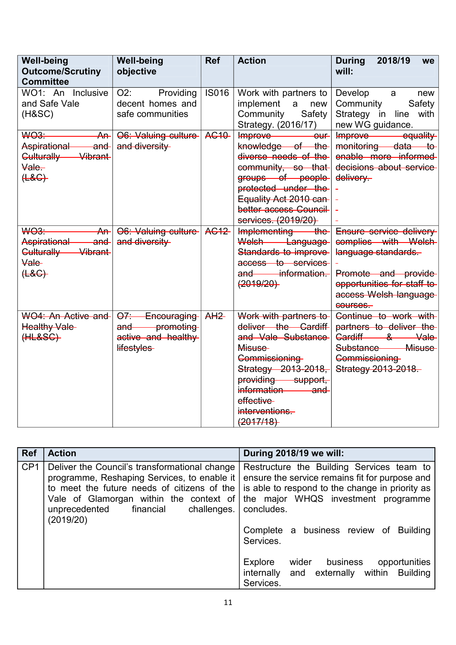| <b>Well-being</b><br><b>Outcome/Scrutiny</b><br><b>Committee</b>                                                        | <b>Well-being</b><br>objective                                       | <b>Ref</b>      | <b>Action</b>                                                                                                                                                                                                   | <b>During</b><br>2018/19<br>we<br>will:                                                                                                                           |
|-------------------------------------------------------------------------------------------------------------------------|----------------------------------------------------------------------|-----------------|-----------------------------------------------------------------------------------------------------------------------------------------------------------------------------------------------------------------|-------------------------------------------------------------------------------------------------------------------------------------------------------------------|
| WO1: An Inclusive<br>and Safe Vale<br>$(H\&SC)$                                                                         | O2:<br>Providing<br>decent homes and<br>safe communities             | <b>IS016</b>    | Work with partners to<br>implement<br>a<br>new<br>Community<br>Safety<br>Strategy. (2016/17)                                                                                                                    | Develop<br>new<br>a<br>Community<br>Safety<br>Strategy in line<br>with<br>new WG guidance.                                                                        |
| <b>WO3-</b><br>An <sup>2</sup><br><b>Aspirational</b><br><del>and</del><br>Culturally Vibrant<br>Vale-<br>( <b>48</b> ) | O6: Valuing culture<br>and diversity                                 | <b>AG10</b>     | Improve-<br>$-\theta$ uf<br>knowledge of the<br>diverse needs of the<br>community, so that<br>groups of people<br>protected under the<br>Equality Act 2010 can-<br>better access Council<br>services. (2019/20) | equality<br>Improve<br>monitoring data to<br>enable more informed<br>decisions about service<br>delivery-                                                         |
| <b>WO3</b><br>Ar<br>Aspirational<br><del>and</del><br>Culturally Vibrant<br><b>Vale</b><br>( <b>4.8</b> )               | O6: Valuing culture<br>and diversity                                 | <b>AG12</b>     | Implementing the<br>Welsh Language<br>Standards to improve<br>access to services<br>and information.<br>(2019/20)                                                                                               | Ensure service delivery<br>complies with Welsh-<br>language standards.<br>Promote and provide<br>opportunities for staff to-<br>access Welsh language<br>courses. |
| WO4: An Active and<br><b>Healthy Vale-</b><br>(HLESG)                                                                   | O7: Encouraging<br>and promoting<br>active and healthy<br>lifestyles | A <sub>H2</sub> | Work with partners to<br>deliver the Cardiff<br>and Vale Substance<br>Misuse-<br>Commissioning<br>Strategy 2013-2018,<br>providing support,<br>information and<br>effective<br>interventions.<br>(2017/18)      | Continue to work with<br>partners to deliver the<br>Cardiff & Vale<br>Misuse<br>Substance<br>Commissioning<br>Strategy 2013-2018.                                 |

| <b>Ref</b>      | <b>Action</b>                                                                                                                                                                                                                                    | During 2018/19 we will:                                                                                                                                                                                                                                                                                     |
|-----------------|--------------------------------------------------------------------------------------------------------------------------------------------------------------------------------------------------------------------------------------------------|-------------------------------------------------------------------------------------------------------------------------------------------------------------------------------------------------------------------------------------------------------------------------------------------------------------|
| CP <sub>1</sub> | Deliver the Council's transformational change<br>programme, Reshaping Services, to enable it<br>to meet the future needs of citizens of the<br>Vale of Glamorgan within the context of<br>unprecedented<br>financial<br>challenges.<br>(2019/20) | Restructure the Building Services team to<br>ensure the service remains fit for purpose and<br>is able to respond to the change in priority as<br>the major WHQS investment programme<br>concludes.<br>Complete a business review of Building<br>Services.<br>Explore<br>business<br>opportunities<br>wider |
|                 |                                                                                                                                                                                                                                                  | and externally within Building<br>internally<br>Services.                                                                                                                                                                                                                                                   |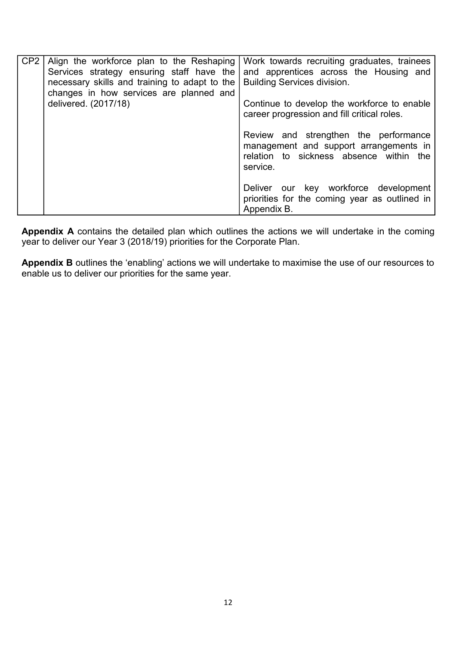| CP <sub>2</sub> | Align the workforce plan to the Reshaping<br>Services strategy ensuring staff have the<br>necessary skills and training to adapt to the<br>changes in how services are planned and<br>delivered. (2017/18) | Work towards recruiting graduates, trainees<br>and apprentices across the Housing and<br><b>Building Services division.</b><br>Continue to develop the workforce to enable<br>career progression and fill critical roles. |
|-----------------|------------------------------------------------------------------------------------------------------------------------------------------------------------------------------------------------------------|---------------------------------------------------------------------------------------------------------------------------------------------------------------------------------------------------------------------------|
|                 |                                                                                                                                                                                                            | Review and strengthen the performance<br>management and support arrangements in<br>relation to sickness absence within the<br>service.                                                                                    |
|                 |                                                                                                                                                                                                            | Deliver our key workforce development<br>priorities for the coming year as outlined in<br>Appendix B.                                                                                                                     |

**Appendix A** contains the detailed plan which outlines the actions we will undertake in the coming year to deliver our Year 3 (2018/19) priorities for the Corporate Plan.

**Appendix B** outlines the 'enabling' actions we will undertake to maximise the use of our resources to enable us to deliver our priorities for the same year.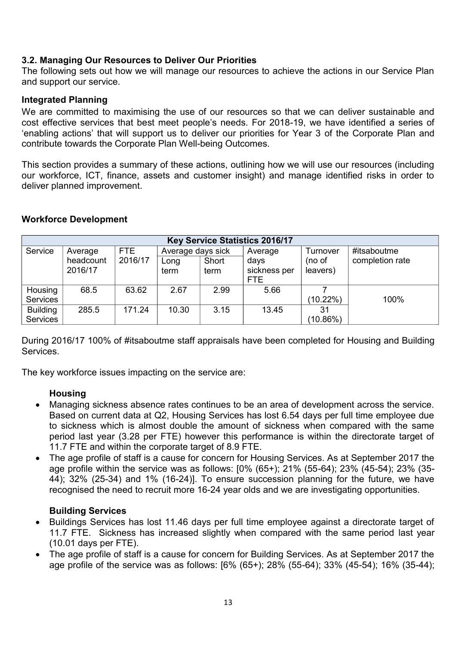#### **3.2. Managing Our Resources to Deliver Our Priorities**

The following sets out how we will manage our resources to achieve the actions in our Service Plan and support our service.

#### **Integrated Planning**

We are committed to maximising the use of our resources so that we can deliver sustainable and cost effective services that best meet people's needs. For 2018-19, we have identified a series of 'enabling actions' that will support us to deliver our priorities for Year 3 of the Corporate Plan and contribute towards the Corporate Plan Well-being Outcomes.

This section provides a summary of these actions, outlining how we will use our resources (including our workforce, ICT, finance, assets and customer insight) and manage identified risks in order to deliver planned improvement.

#### **Workforce Development**

| <b>Key Service Statistics 2016/17</b> |           |         |                   |       |              |             |                 |  |
|---------------------------------------|-----------|---------|-------------------|-------|--------------|-------------|-----------------|--|
| Service                               | Average   | FTE     | Average days sick |       | Average      | Turnover    | #itsaboutme     |  |
|                                       | headcount | 2016/17 | Long              | Short | days         | (no of      | completion rate |  |
|                                       | 2016/17   |         | term              | term  | sickness per | leavers)    |                 |  |
|                                       |           |         |                   |       | <b>FTE</b>   |             |                 |  |
| Housing                               | 68.5      | 63.62   | 2.67              | 2.99  | 5.66         |             |                 |  |
| <b>Services</b>                       |           |         |                   |       |              | $(10.22\%)$ | 100%            |  |
| <b>Building</b>                       | 285.5     | 171.24  | 10.30             | 3.15  | 13.45        | 31          |                 |  |
| Services                              |           |         |                   |       |              | $(10.86\%)$ |                 |  |

During 2016/17 100% of #itsaboutme staff appraisals have been completed for Housing and Building Services.

The key workforce issues impacting on the service are:

#### **Housing**

- Managing sickness absence rates continues to be an area of development across the service. Based on current data at Q2, Housing Services has lost 6.54 days per full time employee due to sickness which is almost double the amount of sickness when compared with the same period last year (3.28 per FTE) however this performance is within the directorate target of 11.7 FTE and within the corporate target of 8.9 FTE.
- The age profile of staff is a cause for concern for Housing Services. As at September 2017 the age profile within the service was as follows: [0% (65+); 21% (55-64); 23% (45-54); 23% (35- 44); 32% (25-34) and 1% (16-24)]. To ensure succession planning for the future, we have recognised the need to recruit more 16-24 year olds and we are investigating opportunities.

#### **Building Services**

- Buildings Services has lost 11.46 days per full time employee against a directorate target of 11.7 FTE. Sickness has increased slightly when compared with the same period last year (10.01 days per FTE).
- The age profile of staff is a cause for concern for Building Services. As at September 2017 the age profile of the service was as follows: [6% (65+); 28% (55-64); 33% (45-54); 16% (35-44);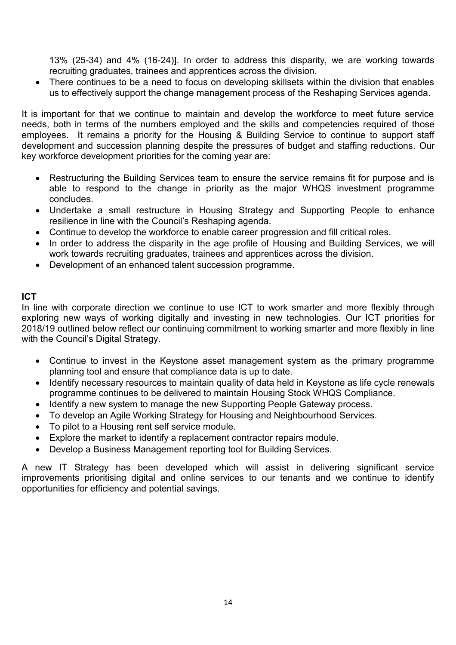13% (25-34) and 4% (16-24)]. In order to address this disparity, we are working towards recruiting graduates, trainees and apprentices across the division.

• There continues to be a need to focus on developing skillsets within the division that enables us to effectively support the change management process of the Reshaping Services agenda.

It is important for that we continue to maintain and develop the workforce to meet future service needs, both in terms of the numbers employed and the skills and competencies required of those employees. It remains a priority for the Housing & Building Service to continue to support staff development and succession planning despite the pressures of budget and staffing reductions. Our key workforce development priorities for the coming year are:

- Restructuring the Building Services team to ensure the service remains fit for purpose and is able to respond to the change in priority as the major WHQS investment programme concludes.
- Undertake a small restructure in Housing Strategy and Supporting People to enhance resilience in line with the Council's Reshaping agenda.
- Continue to develop the workforce to enable career progression and fill critical roles.
- In order to address the disparity in the age profile of Housing and Building Services, we will work towards recruiting graduates, trainees and apprentices across the division.
- Development of an enhanced talent succession programme.

#### **ICT**

In line with corporate direction we continue to use ICT to work smarter and more flexibly through exploring new ways of working digitally and investing in new technologies. Our ICT priorities for 2018/19 outlined below reflect our continuing commitment to working smarter and more flexibly in line with the Council's Digital Strategy.

- Continue to invest in the Keystone asset management system as the primary programme planning tool and ensure that compliance data is up to date.
- Identify necessary resources to maintain quality of data held in Keystone as life cycle renewals programme continues to be delivered to maintain Housing Stock WHQS Compliance.
- Identify a new system to manage the new Supporting People Gateway process.
- To develop an Agile Working Strategy for Housing and Neighbourhood Services.
- To pilot to a Housing rent self service module.
- Explore the market to identify a replacement contractor repairs module.
- Develop a Business Management reporting tool for Building Services.

A new IT Strategy has been developed which will assist in delivering significant service improvements prioritising digital and online services to our tenants and we continue to identify opportunities for efficiency and potential savings.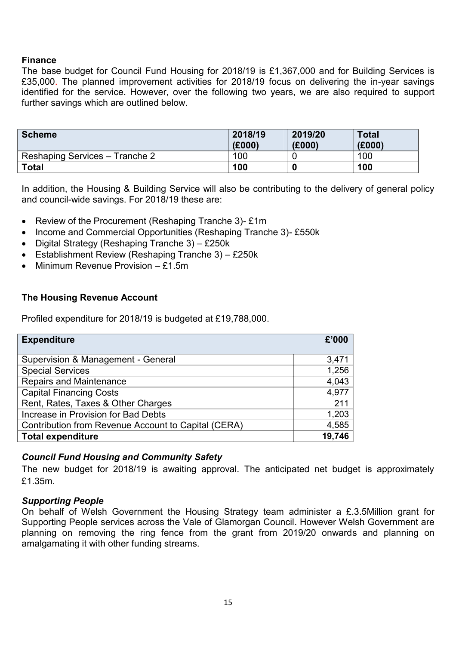#### **Finance**

The base budget for Council Fund Housing for 2018/19 is £1,367,000 and for Building Services is £35,000. The planned improvement activities for 2018/19 focus on delivering the in-year savings identified for the service. However, over the following two years, we are also required to support further savings which are outlined below.

| <b>Scheme</b>                  | 2018/19<br>(£000) | 2019/20<br>(E000) | <b>Total</b><br>(E000) |
|--------------------------------|-------------------|-------------------|------------------------|
| Reshaping Services – Tranche 2 | 100               |                   | 100                    |
| <b>Total</b>                   | 100               |                   | 100                    |

In addition, the Housing & Building Service will also be contributing to the delivery of general policy and council-wide savings. For 2018/19 these are:

- Review of the Procurement (Reshaping Tranche 3)- £1m
- Income and Commercial Opportunities (Reshaping Tranche 3)- £550k
- $\bullet$  Digital Strategy (Reshaping Tranche 3) £250k
- Establishment Review (Reshaping Tranche 3) £250k
- Minimum Revenue Provision £1.5m

#### **The Housing Revenue Account**

Profiled expenditure for 2018/19 is budgeted at £19,788,000.

| <b>Expenditure</b>                                  |        |  |  |  |  |
|-----------------------------------------------------|--------|--|--|--|--|
|                                                     |        |  |  |  |  |
| Supervision & Management - General                  | 3,471  |  |  |  |  |
| <b>Special Services</b>                             | 1,256  |  |  |  |  |
| <b>Repairs and Maintenance</b>                      | 4,043  |  |  |  |  |
| <b>Capital Financing Costs</b>                      | 4,977  |  |  |  |  |
| Rent, Rates, Taxes & Other Charges                  | 211    |  |  |  |  |
| Increase in Provision for Bad Debts                 | 1,203  |  |  |  |  |
| Contribution from Revenue Account to Capital (CERA) | 4,585  |  |  |  |  |
| <b>Total expenditure</b>                            | 19,746 |  |  |  |  |

#### *Council Fund Housing and Community Safety*

The new budget for 2018/19 is awaiting approval. The anticipated net budget is approximately £1.35m.

#### *Supporting People*

On behalf of Welsh Government the Housing Strategy team administer a £.3.5Million grant for Supporting People services across the Vale of Glamorgan Council. However Welsh Government are planning on removing the ring fence from the grant from 2019/20 onwards and planning on amalgamating it with other funding streams.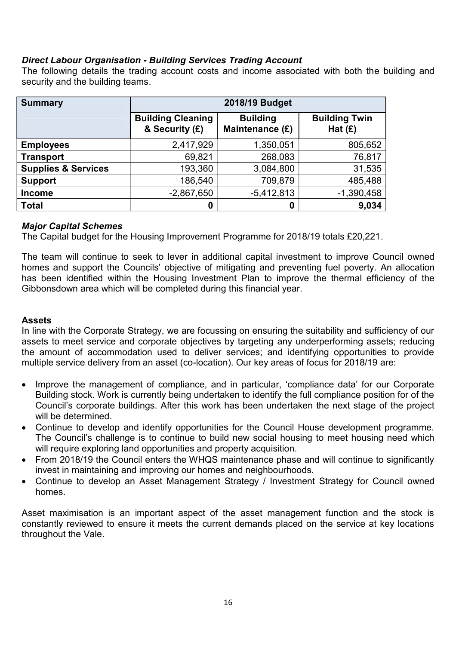#### *Direct Labour Organisation - Building Services Trading Account*

The following details the trading account costs and income associated with both the building and security and the building teams.

| <b>Summary</b>                 | 2018/19 Budget                             |                                    |                                   |  |  |  |
|--------------------------------|--------------------------------------------|------------------------------------|-----------------------------------|--|--|--|
|                                | <b>Building Cleaning</b><br>& Security (£) | <b>Building</b><br>Maintenance (£) | <b>Building Twin</b><br>Hat $(E)$ |  |  |  |
| <b>Employees</b>               | 2,417,929                                  | 1,350,051                          | 805,652                           |  |  |  |
| <b>Transport</b>               | 69,821                                     | 268,083                            | 76,817                            |  |  |  |
| <b>Supplies &amp; Services</b> | 193,360                                    | 3,084,800                          | 31,535                            |  |  |  |
| <b>Support</b>                 | 186,540                                    | 709,879                            | 485,488                           |  |  |  |
| <b>Income</b>                  | $-2,867,650$                               | $-5,412,813$                       | $-1,390,458$                      |  |  |  |
| <b>Total</b>                   | 0                                          | 0                                  | 9,034                             |  |  |  |

#### *Major Capital Schemes*

The Capital budget for the Housing Improvement Programme for 2018/19 totals £20,221.

The team will continue to seek to lever in additional capital investment to improve Council owned homes and support the Councils' objective of mitigating and preventing fuel poverty. An allocation has been identified within the Housing Investment Plan to improve the thermal efficiency of the Gibbonsdown area which will be completed during this financial year.

#### **Assets**

In line with the Corporate Strategy, we are focussing on ensuring the suitability and sufficiency of our assets to meet service and corporate objectives by targeting any underperforming assets; reducing the amount of accommodation used to deliver services; and identifying opportunities to provide multiple service delivery from an asset (co-location). Our key areas of focus for 2018/19 are:

- Improve the management of compliance, and in particular, 'compliance data' for our Corporate Building stock. Work is currently being undertaken to identify the full compliance position for of the Council's corporate buildings. After this work has been undertaken the next stage of the project will be determined.
- Continue to develop and identify opportunities for the Council House development programme. The Council's challenge is to continue to build new social housing to meet housing need which will require exploring land opportunities and property acquisition.
- From 2018/19 the Council enters the WHQS maintenance phase and will continue to significantly invest in maintaining and improving our homes and neighbourhoods.
- Continue to develop an Asset Management Strategy / Investment Strategy for Council owned homes.

Asset maximisation is an important aspect of the asset management function and the stock is constantly reviewed to ensure it meets the current demands placed on the service at key locations throughout the Vale.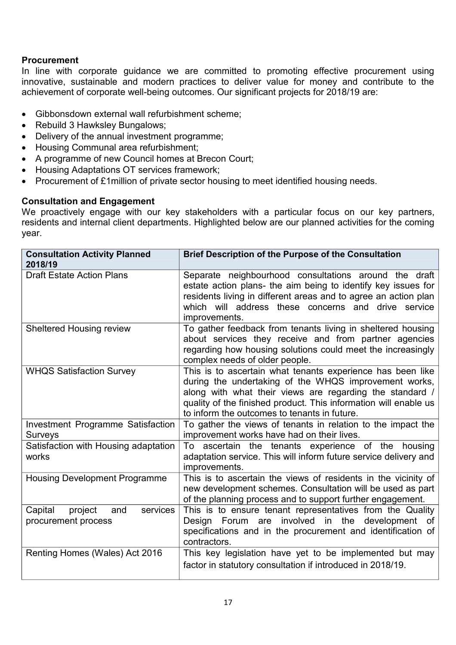#### **Procurement**

In line with corporate guidance we are committed to promoting effective procurement using innovative, sustainable and modern practices to deliver value for money and contribute to the achievement of corporate well-being outcomes. Our significant projects for 2018/19 are:

- Gibbonsdown external wall refurbishment scheme;
- Rebuild 3 Hawksley Bungalows;
- Delivery of the annual investment programme;
- Housing Communal area refurbishment;
- A programme of new Council homes at Brecon Court;
- Housing Adaptations OT services framework;
- Procurement of £1 million of private sector housing to meet identified housing needs.

#### **Consultation and Engagement**

We proactively engage with our key stakeholders with a particular focus on our key partners, residents and internal client departments. Highlighted below are our planned activities for the coming year.

| <b>Consultation Activity Planned</b><br>2018/19              | <b>Brief Description of the Purpose of the Consultation</b>                                                                                                                                                                                                                                         |
|--------------------------------------------------------------|-----------------------------------------------------------------------------------------------------------------------------------------------------------------------------------------------------------------------------------------------------------------------------------------------------|
| <b>Draft Estate Action Plans</b>                             | Separate neighbourhood consultations around the draft<br>estate action plans- the aim being to identify key issues for<br>residents living in different areas and to agree an action plan<br>which will address these concerns and drive service<br>improvements.                                   |
| <b>Sheltered Housing review</b>                              | To gather feedback from tenants living in sheltered housing<br>about services they receive and from partner agencies<br>regarding how housing solutions could meet the increasingly<br>complex needs of older people.                                                                               |
| <b>WHQS Satisfaction Survey</b>                              | This is to ascertain what tenants experience has been like<br>during the undertaking of the WHQS improvement works,<br>along with what their views are regarding the standard /<br>quality of the finished product. This information will enable us<br>to inform the outcomes to tenants in future. |
| Investment Programme Satisfaction<br>Surveys                 | To gather the views of tenants in relation to the impact the<br>improvement works have had on their lives.                                                                                                                                                                                          |
| Satisfaction with Housing adaptation<br>works                | To ascertain the tenants experience of the housing<br>adaptation service. This will inform future service delivery and<br>improvements.                                                                                                                                                             |
| <b>Housing Development Programme</b>                         | This is to ascertain the views of residents in the vicinity of<br>new development schemes. Consultation will be used as part<br>of the planning process and to support further engagement.                                                                                                          |
| Capital<br>project<br>services<br>and<br>procurement process | This is to ensure tenant representatives from the Quality<br>Design Forum are involved in the development<br>0f<br>specifications and in the procurement and identification of<br>contractors.                                                                                                      |
| Renting Homes (Wales) Act 2016                               | This key legislation have yet to be implemented but may<br>factor in statutory consultation if introduced in 2018/19.                                                                                                                                                                               |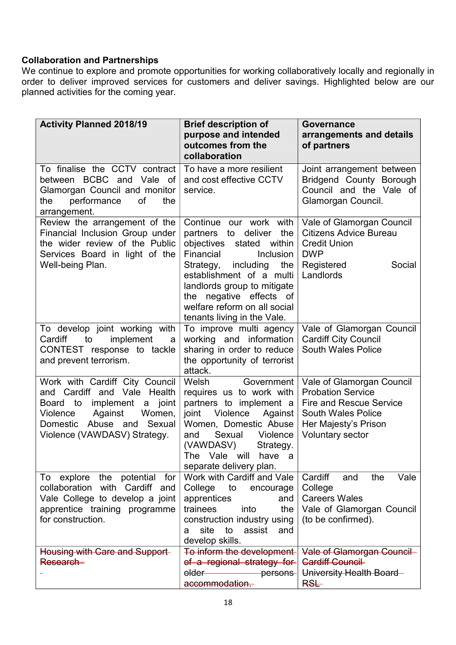#### **Collaboration and Partnerships**

We continue to explore and promote opportunities for working collaboratively locally and regionally in order to deliver improved services for customers and deliver savings. Highlighted below are our planned activities for the coming year.

| <b>Activity Planned 2018/19</b>                                                                                                                                                                       | <b>Brief description of</b><br>purpose and intended<br>outcomes from the<br>collaboration                                                                                                                                                                                                                        | <b>Governance</b><br>arrangements and details<br>of partners                                                                                              |
|-------------------------------------------------------------------------------------------------------------------------------------------------------------------------------------------------------|------------------------------------------------------------------------------------------------------------------------------------------------------------------------------------------------------------------------------------------------------------------------------------------------------------------|-----------------------------------------------------------------------------------------------------------------------------------------------------------|
| To finalise the CCTV contract<br>between BCBC and Vale of<br>Glamorgan Council and monitor<br>performance<br>0f<br>the<br>the<br>arrangement.                                                         | To have a more resilient<br>and cost effective CCTV<br>service.                                                                                                                                                                                                                                                  | Joint arrangement between<br>Bridgend County Borough<br>Council and the Vale of<br>Glamorgan Council.                                                     |
| Review the arrangement of the<br>Financial Inclusion Group under<br>the wider review of the Public<br>Services Board in light of the<br>Well-being Plan.                                              | Continue our work with<br>the<br>deliver<br>partners to<br>objectives<br>stated<br>within<br>Financial<br><b>Inclusion</b><br>including<br>the<br>Strategy,<br>establishment of a multi<br>landlords group to mitigate<br>the negative effects of<br>welfare reform on all social<br>tenants living in the Vale. | Vale of Glamorgan Council<br><b>Citizens Advice Bureau</b><br><b>Credit Union</b><br><b>DWP</b><br>Registered<br>Social<br>Landlords                      |
| To develop joint working with<br>implement<br>Cardiff<br>to<br>a<br>CONTEST response to tackle<br>and prevent terrorism.                                                                              | To improve multi agency<br>working and information<br>sharing in order to reduce<br>the opportunity of terrorist<br>attack.                                                                                                                                                                                      | Vale of Glamorgan Council<br><b>Cardiff City Council</b><br><b>South Wales Police</b>                                                                     |
| Work with Cardiff City Council<br>and Cardiff and Vale Health<br>Board to<br>implement<br>joint<br>a<br>Violence<br>Against<br>Women,<br>Domestic Abuse and<br>Sexual<br>Violence (VAWDASV) Strategy. | Welsh<br>Government<br>requires us to work with<br>partners to implement a<br>joint<br>Violence<br>Against<br>Women, Domestic Abuse<br>Sexual<br>Violence<br>and<br>(VAWDASV)<br>Strategy.<br>The Vale will<br>have a<br>separate delivery plan.                                                                 | Vale of Glamorgan Council<br><b>Probation Service</b><br><b>Fire and Rescue Service</b><br>South Wales Police<br>Her Majesty's Prison<br>Voluntary sector |
| explore the<br>potential<br>for<br>To<br>collaboration with Cardiff and<br>Vale College to develop a joint<br>apprentice training programme<br>for construction.                                      | Work with Cardiff and Vale<br>College<br>to<br>encourage<br>apprentices<br>and<br>trainees<br>into<br>the<br>construction industry using<br>site<br>to<br>assist<br>and<br>a<br>develop skills.                                                                                                                  | Vale<br>Cardiff<br>and<br>the<br>College<br><b>Careers Wales</b><br>Vale of Glamorgan Council<br>(to be confirmed).                                       |
| Housing with Care and Support-<br>Research-                                                                                                                                                           | To inform the development-<br>of a regional strategy for<br>older —<br>persons<br>accommodation.                                                                                                                                                                                                                 | <b>Vale of Glamorgan Council</b><br><b>Cardiff Council</b><br>University Health Board-<br>RSL-                                                            |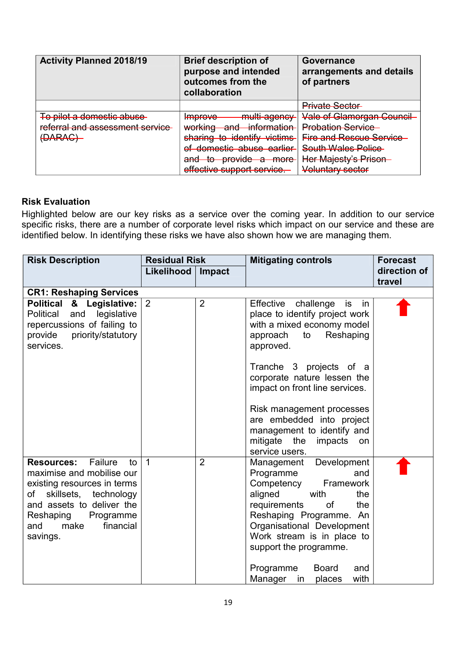| <b>Activity Planned 2018/19</b> | <b>Brief description of</b><br>purpose and intended<br>outcomes from the<br>collaboration | Governance<br>arrangements and details<br>of partners |
|---------------------------------|-------------------------------------------------------------------------------------------|-------------------------------------------------------|
|                                 |                                                                                           | <b>Private Sector</b>                                 |
| To pilot a domestic abuse       | multi_agonev<br>mnrove<br><del>mprove</del><br><del>mara agonoy</del>                     | <b>Vale of Glamorgan Council</b>                      |
| referral and assessment service | working<br>information<br>ond<br><del>working</del><br>anu                                | <b>Probation Service</b>                              |
| ADADAC<br><del>DARAO I</del>    | sharing to identify victims                                                               | <b>Fire and Rescue Service</b>                        |
|                                 | of domestic abuse earlier                                                                 | <b>South Wales Police</b>                             |
|                                 | <del>provide</del><br>ond -<br>$\sim$<br><del>a more</del><br>माप<br>᠊ᢆᢅᢅ                 | Her Majesty's Prison                                  |
|                                 | effective support service.                                                                | Voluntary sector                                      |

#### **Risk Evaluation**

Highlighted below are our key risks as a service over the coming year. In addition to our service specific risks, there are a number of corporate level risks which impact on our service and these are identified below. In identifying these risks we have also shown how we are managing them.

| <b>Risk Description</b>                                                                                                                                                                                                      | <b>Residual Risk</b> |                | <b>Mitigating controls</b>                                                                                                                                                                                                                                                                                                                                                         | <b>Forecast</b>        |
|------------------------------------------------------------------------------------------------------------------------------------------------------------------------------------------------------------------------------|----------------------|----------------|------------------------------------------------------------------------------------------------------------------------------------------------------------------------------------------------------------------------------------------------------------------------------------------------------------------------------------------------------------------------------------|------------------------|
|                                                                                                                                                                                                                              | Likelihood           | Impact         |                                                                                                                                                                                                                                                                                                                                                                                    | direction of<br>travel |
| <b>CR1: Reshaping Services</b>                                                                                                                                                                                               |                      |                |                                                                                                                                                                                                                                                                                                                                                                                    |                        |
| Political & Legislative:<br>legislative<br>Political and<br>repercussions of failing to<br>priority/statutory<br>provide<br>services.                                                                                        | $\overline{2}$       | $\overline{2}$ | Effective<br>challenge is<br>in<br>place to identify project work<br>with a mixed economy model<br>Reshaping<br>approach<br>to<br>approved.<br>Tranche 3 projects of a<br>corporate nature lessen the<br>impact on front line services.<br>Risk management processes<br>are embedded into project<br>management to identify and<br>mitigate the<br>impacts<br>on<br>service users. |                        |
| Failure<br><b>Resources:</b><br>to<br>maximise and mobilise our<br>existing resources in terms<br>skillsets, technology<br>of<br>and assets to deliver the<br>Reshaping<br>Programme<br>make<br>financial<br>and<br>savings. | $\overline{1}$       | $\overline{2}$ | Development<br>Management<br>Programme<br>and<br>Competency<br>Framework<br>aligned<br>with<br>the<br>requirements<br>0f<br>the<br>Reshaping Programme. An<br>Organisational Development<br>Work stream is in place to<br>support the programme.<br>Programme<br><b>Board</b><br>and<br>Manager<br>with<br>places<br>in                                                            |                        |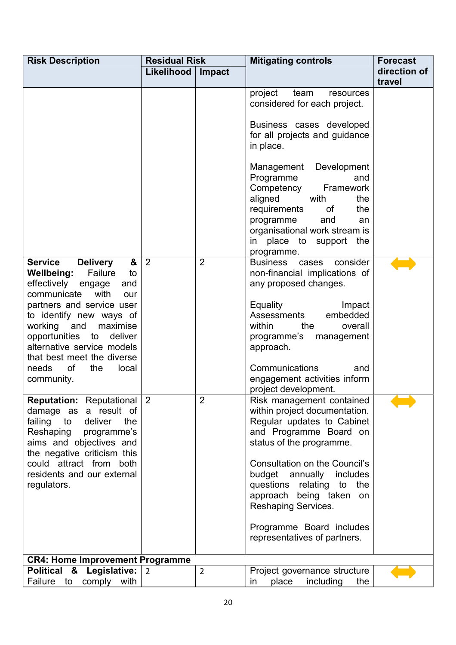| <b>Risk Description</b>                                                                                                                                                                                                                                                                                                                                                     | <b>Residual Risk</b> |                | <b>Mitigating controls</b>                                                                                                                                                                                                                                                                                                                                                 | <b>Forecast</b>        |
|-----------------------------------------------------------------------------------------------------------------------------------------------------------------------------------------------------------------------------------------------------------------------------------------------------------------------------------------------------------------------------|----------------------|----------------|----------------------------------------------------------------------------------------------------------------------------------------------------------------------------------------------------------------------------------------------------------------------------------------------------------------------------------------------------------------------------|------------------------|
|                                                                                                                                                                                                                                                                                                                                                                             | Likelihood           | Impact         |                                                                                                                                                                                                                                                                                                                                                                            | direction of<br>travel |
|                                                                                                                                                                                                                                                                                                                                                                             |                      |                | project<br>team<br>resources<br>considered for each project.<br>Business cases developed<br>for all projects and guidance<br>in place.<br>Management Development<br>Programme<br>and<br>Competency<br>Framework<br>with<br>aligned<br>the<br>requirements<br>of<br>the<br>programme<br>and<br>an<br>organisational work stream is<br>in place to support the<br>programme. |                        |
| <b>Service</b><br>&<br><b>Delivery</b><br><b>Wellbeing:</b><br>Failure<br>to<br>effectively<br>and<br>engage<br>communicate<br>with<br>our<br>partners and service user<br>to identify new ways of<br>and<br>working<br>maximise<br>opportunities<br>deliver<br>to<br>alternative service models<br>that best meet the diverse<br>needs<br>0f<br>the<br>local<br>community. | $\overline{2}$       | $\overline{2}$ | <b>Business</b><br>consider<br>cases<br>non-financial implications of<br>any proposed changes.<br>Equality<br>Impact<br>embedded<br>Assessments<br>overall<br>within<br>the<br>programme's<br>management<br>approach.<br>Communications<br>and<br>engagement activities inform<br>project development.                                                                     |                        |
| <b>Reputation:</b> Reputational 2<br>damage as a result of<br>failing to deliver<br>the<br>Reshaping programme's<br>aims and objectives and<br>the negative criticism this<br>could attract from both<br>residents and our external<br>regulators.                                                                                                                          |                      | 2              | Risk management contained<br>within project documentation.<br>Regular updates to Cabinet<br>and Programme Board on<br>status of the programme.<br>Consultation on the Council's<br>budget annually includes<br>questions relating to<br>the<br>approach being taken on<br><b>Reshaping Services.</b><br>Programme Board includes<br>representatives of partners.           |                        |
| <b>CR4: Home Improvement Programme</b>                                                                                                                                                                                                                                                                                                                                      |                      |                |                                                                                                                                                                                                                                                                                                                                                                            |                        |
| Political & Legislative: 2<br>Failure to comply with                                                                                                                                                                                                                                                                                                                        |                      | $\overline{2}$ | Project governance structure<br>place<br>including<br>the<br>in                                                                                                                                                                                                                                                                                                            |                        |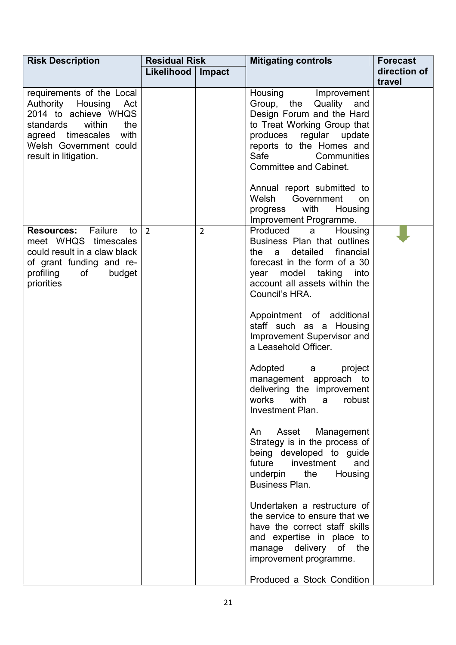| <b>Risk Description</b>                                                                                                                                                               | <b>Residual Risk</b> |                | <b>Mitigating controls</b>                                                                                                                                                                                                                                                                                                                                                                                                                                                                                                                                                                                                                                                                                                                                                                                                                                    | <b>Forecast</b>        |
|---------------------------------------------------------------------------------------------------------------------------------------------------------------------------------------|----------------------|----------------|---------------------------------------------------------------------------------------------------------------------------------------------------------------------------------------------------------------------------------------------------------------------------------------------------------------------------------------------------------------------------------------------------------------------------------------------------------------------------------------------------------------------------------------------------------------------------------------------------------------------------------------------------------------------------------------------------------------------------------------------------------------------------------------------------------------------------------------------------------------|------------------------|
|                                                                                                                                                                                       | Likelihood           | Impact         |                                                                                                                                                                                                                                                                                                                                                                                                                                                                                                                                                                                                                                                                                                                                                                                                                                                               | direction of<br>travel |
| requirements of the Local<br>Authority Housing Act<br>2014 to achieve WHQS<br>within<br>standards<br>the<br>agreed timescales with<br>Welsh Government could<br>result in litigation. |                      |                | Housing<br>Improvement<br>Group, the Quality and<br>Design Forum and the Hard<br>to Treat Working Group that<br>produces regular update<br>reports to the Homes and<br>Safe<br>Communities<br>Committee and Cabinet.<br>Annual report submitted to<br>Welsh Government<br>on<br>with<br>Housing<br>progress<br>Improvement Programme.                                                                                                                                                                                                                                                                                                                                                                                                                                                                                                                         |                        |
| <b>Resources:</b> Failure<br>to<br>meet WHQS timescales<br>could result in a claw black<br>of grant funding and re-<br>profiling<br>of the control<br>budget<br>priorities            | $\overline{2}$       | $\overline{2}$ | Produced<br>Housing<br>a a<br>Business Plan that outlines<br>detailed<br>financial<br>the<br>a<br>forecast in the form of a 30<br>year model taking into<br>account all assets within the<br>Council's HRA.<br>Appointment of additional<br>staff such as a Housing<br>Improvement Supervisor and<br>a Leasehold Officer.<br>Adopted a<br>project<br>management approach to<br>delivering the improvement<br>works<br>with<br>robust<br>a<br><b>Investment Plan.</b><br>Asset<br>An<br>Management<br>Strategy is in the process of<br>being developed to guide<br>future<br>investment<br>and<br>underpin<br>the<br>Housing<br>Business Plan.<br>Undertaken a restructure of<br>the service to ensure that we<br>have the correct staff skills<br>and expertise in place to<br>manage delivery of the<br>improvement programme.<br>Produced a Stock Condition |                        |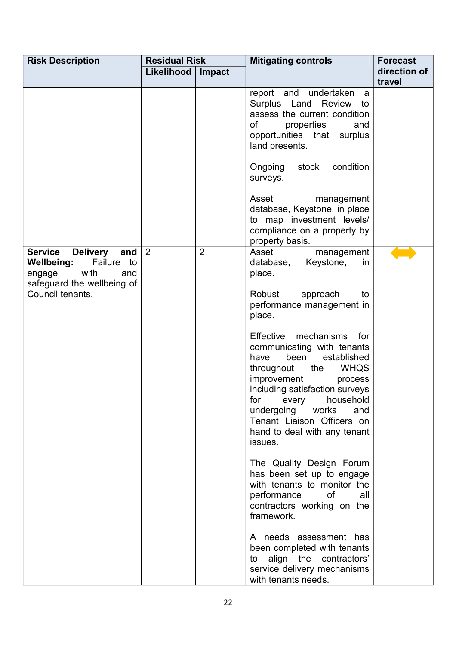| <b>Risk Description</b>                                                                                           | <b>Residual Risk</b> |                | <b>Mitigating controls</b>                                                                                                                                                                                                                                                                                             | <b>Forecast</b> |
|-------------------------------------------------------------------------------------------------------------------|----------------------|----------------|------------------------------------------------------------------------------------------------------------------------------------------------------------------------------------------------------------------------------------------------------------------------------------------------------------------------|-----------------|
|                                                                                                                   | Likelihood           | Impact         |                                                                                                                                                                                                                                                                                                                        | direction of    |
|                                                                                                                   |                      |                | report and undertaken                                                                                                                                                                                                                                                                                                  | travel          |
|                                                                                                                   |                      |                | a<br>Surplus Land Review to<br>assess the current condition<br>0f<br>properties<br>and<br>opportunities that<br>surplus<br>land presents.<br>Ongoing stock<br>condition<br>surveys.<br>Asset<br>management<br>database, Keystone, in place                                                                             |                 |
|                                                                                                                   |                      |                | to map investment levels/<br>compliance on a property by<br>property basis.                                                                                                                                                                                                                                            |                 |
| <b>Service</b><br>Delivery and<br>Failure to<br>Wellbeing:<br>with<br>engage<br>and<br>safeguard the wellbeing of | $\overline{2}$       | $\overline{2}$ | Asset<br>management<br>Keystone,<br>database,<br>in<br>place.                                                                                                                                                                                                                                                          |                 |
| Council tenants.                                                                                                  |                      |                | Robust<br>approach<br>to<br>performance management in<br>place.                                                                                                                                                                                                                                                        |                 |
|                                                                                                                   |                      |                | Effective mechanisms<br>for<br>communicating with tenants<br>established<br>been<br>have<br>throughout the<br><b>WHQS</b><br>improvement<br>process<br>including satisfaction surveys<br>for<br>every<br>household<br>undergoing works<br>and<br>Tenant Liaison Officers on<br>hand to deal with any tenant<br>issues. |                 |
|                                                                                                                   |                      |                | The Quality Design Forum<br>has been set up to engage<br>with tenants to monitor the<br>performance<br>0f<br>all<br>contractors working on the<br>framework.                                                                                                                                                           |                 |
|                                                                                                                   |                      |                | A needs assessment has<br>been completed with tenants<br>to align the contractors'<br>service delivery mechanisms<br>with tenants needs.                                                                                                                                                                               |                 |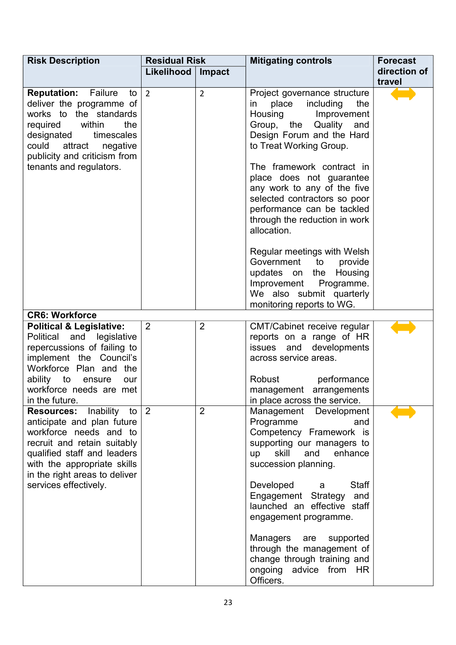| <b>Risk Description</b>                                                                                                                                                                                                                                | <b>Residual Risk</b> |                | <b>Mitigating controls</b>                                                                                                                                                                                                                                                                                                                                                                                                                                                                                                                       | <b>Forecast</b> |
|--------------------------------------------------------------------------------------------------------------------------------------------------------------------------------------------------------------------------------------------------------|----------------------|----------------|--------------------------------------------------------------------------------------------------------------------------------------------------------------------------------------------------------------------------------------------------------------------------------------------------------------------------------------------------------------------------------------------------------------------------------------------------------------------------------------------------------------------------------------------------|-----------------|
|                                                                                                                                                                                                                                                        | Likelihood           | Impact         |                                                                                                                                                                                                                                                                                                                                                                                                                                                                                                                                                  | direction of    |
|                                                                                                                                                                                                                                                        |                      |                |                                                                                                                                                                                                                                                                                                                                                                                                                                                                                                                                                  | travel          |
| <b>Reputation:</b><br>Failure<br>to<br>deliver the programme of<br>works to the standards<br>required within<br>the<br>designated<br>timescales<br>could<br>attract negative<br>publicity and criticism from<br>tenants and regulators.                | $\overline{2}$       | $\overline{2}$ | Project governance structure<br>in place including<br>the<br>Housing<br>Improvement<br>Group, the Quality and<br>Design Forum and the Hard<br>to Treat Working Group.<br>The framework contract in<br>place does not guarantee<br>any work to any of the five<br>selected contractors so poor<br>performance can be tackled<br>through the reduction in work<br>allocation.<br>Regular meetings with Welsh<br>Government to provide<br>updates on the Housing<br>Improvement Programme.<br>We also submit quarterly<br>monitoring reports to WG. |                 |
| <b>CR6: Workforce</b><br><b>Political &amp; Legislative:</b><br>Political and legislative<br>repercussions of failing to<br>implement the Council's<br>Workforce Plan and the<br>ability to ensure<br>our<br>workforce needs are met<br>in the future. | $\overline{2}$       | $\overline{2}$ | CMT/Cabinet receive regular<br>reports on a range of HR<br>issues and developments<br>across service areas.<br>Robust<br>performance<br>management arrangements<br>in place across the service.                                                                                                                                                                                                                                                                                                                                                  |                 |
| <b>Resources:</b> Inability<br>to<br>anticipate and plan future<br>workforce needs and to<br>recruit and retain suitably<br>qualified staff and leaders<br>with the appropriate skills<br>in the right areas to deliver<br>services effectively.       | $\vert 2 \vert$      | $\overline{2}$ | Management Development<br>Programme<br>and<br>Competency Framework is<br>supporting our managers to<br>skill<br>enhance<br>and<br>up<br>succession planning.<br><b>Staff</b><br>Developed<br>a<br>Engagement Strategy<br>and<br>launched an effective staff<br>engagement programme.<br><b>Managers</b><br>supported<br>are<br>through the management of<br>change through training and<br>ongoing advice from HR<br>Officers.                                                                                                                   |                 |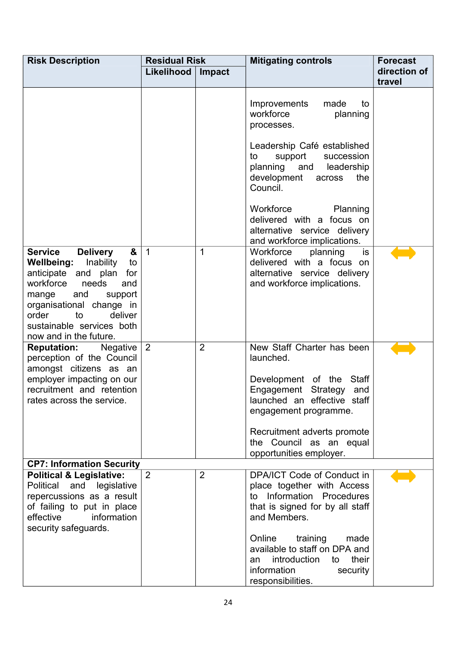| <b>Risk Description</b>                                                                                                                                                                                                                                                           | <b>Residual Risk</b> |                | <b>Mitigating controls</b>                                                                                                                                                                                                                     | <b>Forecast</b>        |
|-----------------------------------------------------------------------------------------------------------------------------------------------------------------------------------------------------------------------------------------------------------------------------------|----------------------|----------------|------------------------------------------------------------------------------------------------------------------------------------------------------------------------------------------------------------------------------------------------|------------------------|
|                                                                                                                                                                                                                                                                                   | Likelihood           | Impact         |                                                                                                                                                                                                                                                | direction of<br>travel |
|                                                                                                                                                                                                                                                                                   |                      |                |                                                                                                                                                                                                                                                |                        |
|                                                                                                                                                                                                                                                                                   |                      |                | made<br>Improvements<br>to<br>workforce<br>planning<br>processes.                                                                                                                                                                              |                        |
|                                                                                                                                                                                                                                                                                   |                      |                | Leadership Café established<br>succession<br>support<br>to<br>planning and<br>leadership<br>development<br>the<br>across<br>Council.                                                                                                           |                        |
|                                                                                                                                                                                                                                                                                   |                      |                | Workforce<br>Planning<br>delivered with a focus on<br>alternative service delivery<br>and workforce implications.                                                                                                                              |                        |
| <b>Service</b><br><b>Delivery</b><br>&<br><b>Wellbeing:</b><br>Inability<br>to<br>anticipate and plan<br>for<br>workforce<br>needs<br>and<br>mange<br>and<br>support<br>organisational change in<br>order<br>deliver<br>to<br>sustainable services both<br>now and in the future. | $\overline{1}$       | 1              | Workforce<br>planning<br>is<br>delivered with a focus on<br>alternative service delivery<br>and workforce implications.                                                                                                                        |                        |
| <b>Reputation:</b><br>Negative<br>perception of the Council<br>amongst citizens as an<br>employer impacting on our<br>recruitment and retention<br>rates across the service.                                                                                                      | $\overline{2}$       | $\overline{2}$ | New Staff Charter has been<br>launched.<br>Development of the Staff<br>Engagement Strategy<br>and<br>launched an effective staff<br>engagement programme.<br>Recruitment adverts promote<br>the Council as an equal<br>opportunities employer. |                        |
| <b>CP7: Information Security</b>                                                                                                                                                                                                                                                  |                      |                |                                                                                                                                                                                                                                                |                        |
| <b>Political &amp; Legislative:</b><br>Political and legislative<br>repercussions as a result<br>of failing to put in place<br>information<br>effective<br>security safeguards.                                                                                                   | 2                    | $\overline{2}$ | DPA/ICT Code of Conduct in<br>place together with Access<br>Information Procedures<br>to to<br>that is signed for by all staff<br>and Members.<br>Online<br>training<br>made<br>available to staff on DPA and<br>introduction<br>their<br>to   |                        |
|                                                                                                                                                                                                                                                                                   |                      |                | an<br>information<br>security<br>responsibilities.                                                                                                                                                                                             |                        |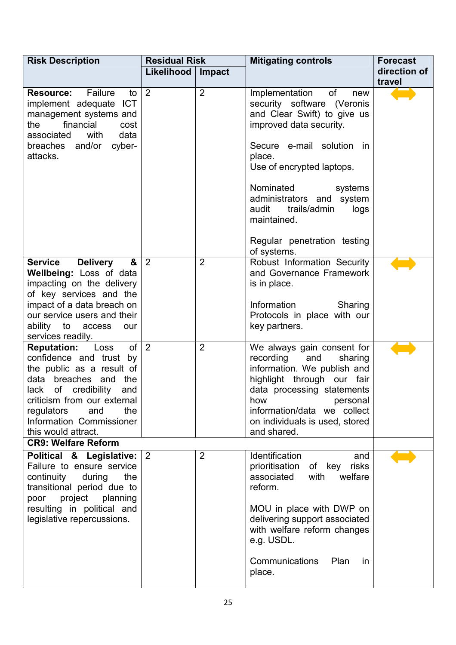| <b>Risk Description</b>                                                                                                                                                                                                                                          | <b>Residual Risk</b> |                | <b>Mitigating controls</b>                                                                                                                                                                                                                                                                                                                 | <b>Forecast</b> |
|------------------------------------------------------------------------------------------------------------------------------------------------------------------------------------------------------------------------------------------------------------------|----------------------|----------------|--------------------------------------------------------------------------------------------------------------------------------------------------------------------------------------------------------------------------------------------------------------------------------------------------------------------------------------------|-----------------|
|                                                                                                                                                                                                                                                                  | Likelihood           | Impact         |                                                                                                                                                                                                                                                                                                                                            | direction of    |
|                                                                                                                                                                                                                                                                  |                      |                |                                                                                                                                                                                                                                                                                                                                            | travel          |
| <b>Resource:</b> Failure<br>to<br><b>ICT</b><br>implement adequate<br>management systems and<br>financial<br>the<br>cost<br>associated<br>with<br>data<br>breaches and/or<br>cyber-<br>attacks.                                                                  | $\overline{2}$       | $\overline{2}$ | of<br>Implementation<br>new<br>security software (Veronis<br>and Clear Swift) to give us<br>improved data security.<br>Secure e-mail solution in<br>place.<br>Use of encrypted laptops.<br>Nominated<br>systems<br>administrators and system<br>audit<br>trails/admin<br>logs<br>maintained.<br>Regular penetration testing<br>of systems. |                 |
| <b>Service</b><br><b>Delivery</b><br>&                                                                                                                                                                                                                           | $\overline{2}$       | $\overline{2}$ | Robust Information Security                                                                                                                                                                                                                                                                                                                |                 |
| Wellbeing: Loss of data<br>impacting on the delivery<br>of key services and the<br>impact of a data breach on<br>our service users and their<br>ability to access<br>our                                                                                         |                      |                | and Governance Framework<br>is in place.<br>Information<br>Sharing<br>Protocols in place with our<br>key partners.                                                                                                                                                                                                                         |                 |
| services readily.                                                                                                                                                                                                                                                |                      |                |                                                                                                                                                                                                                                                                                                                                            |                 |
| of<br><b>Reputation:</b><br>Loss<br>confidence and trust by<br>the public as a result of<br>data breaches and<br>the<br>lack of credibility<br>and<br>criticism from our external<br>the<br>regulators<br>and<br>Information Commissioner<br>this would attract. | $\overline{2}$       | $\overline{2}$ | We always gain consent for<br>recording<br>and<br>sharing<br>information. We publish and<br>highlight through our fair<br>data processing statements<br>how<br>personal<br>information/data we collect<br>on individuals is used, stored<br>and shared.                                                                                    |                 |
| <b>CR9: Welfare Reform</b>                                                                                                                                                                                                                                       |                      |                |                                                                                                                                                                                                                                                                                                                                            |                 |
| Political & Legislative:<br>Failure to ensure service<br>continuity<br>during<br>the<br>transitional period due to<br>project planning<br>poor<br>resulting in political and<br>legislative repercussions.                                                       | $\overline{2}$       | $\overline{2}$ | Identification<br>and<br>prioritisation<br>key<br>risks<br>of<br>associated<br>with<br>welfare<br>reform.<br>MOU in place with DWP on<br>delivering support associated<br>with welfare reform changes<br>e.g. USDL.<br>Communications<br>Plan<br><i>in</i><br>place.                                                                       |                 |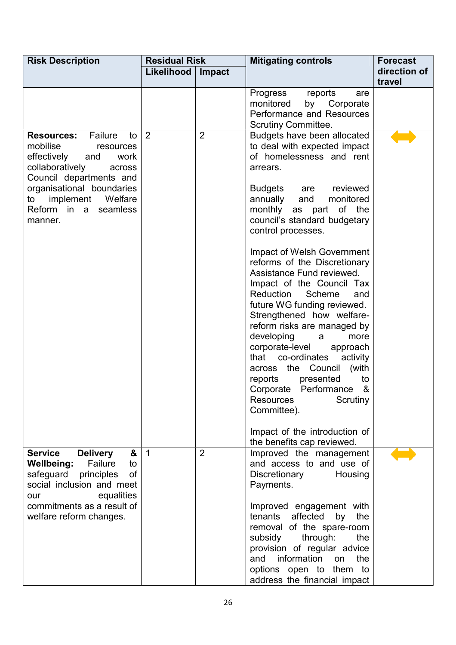| <b>Risk Description</b>                                                                                                                                             | <b>Residual Risk</b> |                | <b>Mitigating controls</b>                                                                                                                                                                                                                              | <b>Forecast</b> |
|---------------------------------------------------------------------------------------------------------------------------------------------------------------------|----------------------|----------------|---------------------------------------------------------------------------------------------------------------------------------------------------------------------------------------------------------------------------------------------------------|-----------------|
|                                                                                                                                                                     | Likelihood           | Impact         |                                                                                                                                                                                                                                                         | direction of    |
|                                                                                                                                                                     |                      |                | Progress<br>reports<br>are<br>monitored<br>by Corporate<br>Performance and Resources                                                                                                                                                                    | travel          |
| Failure<br><b>Resources:</b><br>to<br>mobilise<br>resources<br>effectively<br>and<br>work<br>collaboratively<br>across<br>Council departments and                   | $\overline{2}$       | $\overline{2}$ | <b>Scrutiny Committee.</b><br>Budgets have been allocated<br>to deal with expected impact<br>of homelessness and rent<br>arrears.                                                                                                                       |                 |
| organisational boundaries<br>implement<br>Welfare<br>to<br>Reform in a<br>seamless<br>manner.                                                                       |                      |                | <b>Budgets</b><br>are reviewed<br>annually<br>and<br>monitored<br>monthly<br>as part of the<br>council's standard budgetary<br>control processes.                                                                                                       |                 |
|                                                                                                                                                                     |                      |                | Impact of Welsh Government<br>reforms of the Discretionary<br>Assistance Fund reviewed.<br>Impact of the Council Tax<br>Reduction<br>Scheme<br>and<br>future WG funding reviewed.<br>Strengthened how welfare-                                          |                 |
|                                                                                                                                                                     |                      |                | reform risks are managed by<br>developing<br>a<br>more<br>corporate-level<br>approach<br>co-ordinates<br>that<br>activity<br>across the Council<br>(with<br>presented<br>to<br>reports<br>Performance<br>&<br>Corporate<br><b>Resources</b><br>Scrutiny |                 |
|                                                                                                                                                                     |                      |                | Committee).<br>Impact of the introduction of<br>the benefits cap reviewed.                                                                                                                                                                              |                 |
| <b>Service</b><br><b>Delivery</b><br>&<br><b>Wellbeing:</b><br>Failure<br>to<br>safeguard principles<br><b>of</b><br>social inclusion and meet<br>equalities<br>our | $\overline{1}$       | $\overline{2}$ | Improved the management<br>and access to and use of<br>Discretionary<br>Housing<br>Payments.                                                                                                                                                            |                 |
| commitments as a result of<br>welfare reform changes.                                                                                                               |                      |                | Improved engagement with<br>affected<br>tenants<br>by<br>the<br>removal of the spare-room<br>subsidy<br>through:<br>the<br>provision of regular advice<br>information<br>the<br>and<br>on<br>options open to them to<br>address the financial impact    |                 |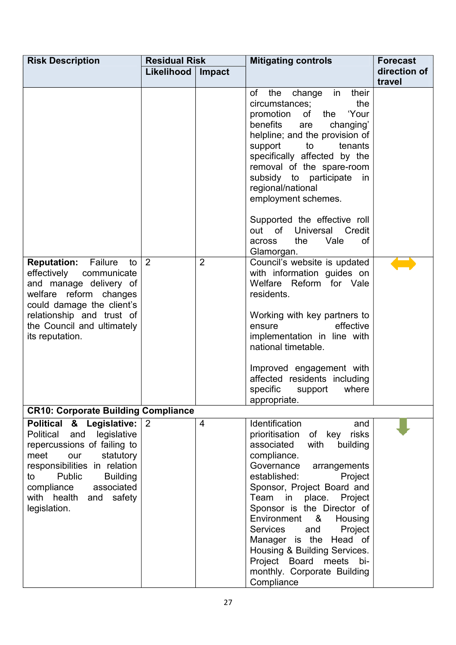| <b>Risk Description</b>                                                                                                                                                                                                                                         | <b>Residual Risk</b> |                | <b>Mitigating controls</b>                                                                                                                                                                                                                                                                                                                                                                                                                                             | <b>Forecast</b>        |
|-----------------------------------------------------------------------------------------------------------------------------------------------------------------------------------------------------------------------------------------------------------------|----------------------|----------------|------------------------------------------------------------------------------------------------------------------------------------------------------------------------------------------------------------------------------------------------------------------------------------------------------------------------------------------------------------------------------------------------------------------------------------------------------------------------|------------------------|
|                                                                                                                                                                                                                                                                 | Likelihood           | Impact         |                                                                                                                                                                                                                                                                                                                                                                                                                                                                        | direction of<br>travel |
|                                                                                                                                                                                                                                                                 |                      |                | the change in<br>of<br>their<br>circumstances;<br>the<br>'Your<br>promotion<br>of<br>the<br>benefits<br>are<br>changing'<br>helpline; and the provision of<br>support<br>to<br>tenants<br>specifically affected by the<br>removal of the spare-room<br>subsidy to participate<br>in<br>regional/national<br>employment schemes.<br>Supported the effective roll<br>out of Universal<br>Credit<br>the<br>Vale<br>0f<br>across<br>Glamorgan.                             |                        |
| <b>Reputation:</b> Failure<br>to<br>effectively communicate<br>and manage delivery of<br>welfare reform changes<br>could damage the client's<br>relationship and trust of<br>the Council and ultimately<br>its reputation.                                      | $\overline{2}$       | $\overline{2}$ | Council's website is updated<br>with information guides on<br>Welfare Reform for Vale<br>residents.<br>Working with key partners to<br>effective<br>ensure<br>implementation in line with<br>national timetable.<br>Improved engagement with<br>affected residents including<br>specific<br>where<br>support<br>appropriate.                                                                                                                                           |                        |
| <b>CR10: Corporate Building Compliance</b>                                                                                                                                                                                                                      |                      |                |                                                                                                                                                                                                                                                                                                                                                                                                                                                                        |                        |
| Political & Legislative:<br>legislative<br>Political<br>and<br>repercussions of failing to<br>statutory<br>meet<br>our<br>responsibilities in relation<br>Public<br><b>Building</b><br>to<br>associated<br>compliance<br>with health and safety<br>legislation. | 2                    | $\overline{4}$ | <b>Identification</b><br>and<br>risks<br>prioritisation<br>of key<br>associated<br>with<br>building<br>compliance.<br>Governance arrangements<br>established:<br>Project<br>Sponsor, Project Board and<br>place. Project<br>Team in<br>Sponsor is the Director of<br>Environment<br>&<br>Housing<br>Project<br>Services<br>and<br>Manager is the Head of<br>Housing & Building Services.<br>Project Board<br>meets<br>bi-<br>monthly. Corporate Building<br>Compliance |                        |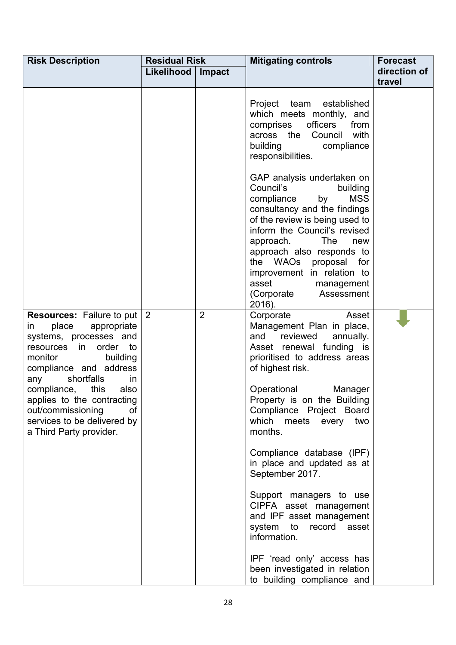| <b>Risk Description</b>                                                                                                                                                                                                                                                                                                                                | <b>Residual Risk</b> |                | <b>Mitigating controls</b>                                                                                                                                                                                                                                                                                                                                          | <b>Forecast</b>        |
|--------------------------------------------------------------------------------------------------------------------------------------------------------------------------------------------------------------------------------------------------------------------------------------------------------------------------------------------------------|----------------------|----------------|---------------------------------------------------------------------------------------------------------------------------------------------------------------------------------------------------------------------------------------------------------------------------------------------------------------------------------------------------------------------|------------------------|
|                                                                                                                                                                                                                                                                                                                                                        | Likelihood           | Impact         |                                                                                                                                                                                                                                                                                                                                                                     | direction of<br>travel |
|                                                                                                                                                                                                                                                                                                                                                        |                      |                | Project team established<br>which meets monthly, and<br>comprises<br>officers<br>from<br>across the Council<br>with<br>building<br>compliance<br>responsibilities.                                                                                                                                                                                                  |                        |
|                                                                                                                                                                                                                                                                                                                                                        |                      |                | GAP analysis undertaken on<br>Council's<br>building<br><b>MSS</b><br>compliance<br>by<br>consultancy and the findings<br>of the review is being used to<br>inform the Council's revised<br>The<br>approach.<br>new<br>approach also responds to<br>the WAOs proposal for<br>improvement in relation to<br>asset<br>management<br>(Corporate<br>Assessment<br>2016). |                        |
| <b>Resources:</b> Failure to put $ 2 $<br>place<br>appropriate<br>in<br>systems, processes and<br>resources in order to<br>monitor<br>building<br>compliance and address<br>shortfalls<br>any<br>in.<br>this<br>compliance,<br>also<br>applies to the contracting<br>out/commissioning<br>οf<br>services to be delivered by<br>a Third Party provider. |                      | $\overline{2}$ | Asset<br>Corporate<br>Management Plan in place,<br>reviewed<br>annually.<br>and<br>Asset renewal funding is<br>prioritised to address areas<br>of highest risk.<br>Operational<br>Manager<br>Property is on the Building<br>Compliance Project Board<br>which meets every<br>two<br>months.                                                                         |                        |
|                                                                                                                                                                                                                                                                                                                                                        |                      |                | Compliance database (IPF)<br>in place and updated as at<br>September 2017.<br>Support managers to use<br>CIPFA asset management<br>and IPF asset management<br>system<br>to<br>record<br>asset<br>information.<br>IPF 'read only' access has                                                                                                                        |                        |
|                                                                                                                                                                                                                                                                                                                                                        |                      |                | been investigated in relation<br>to building compliance and                                                                                                                                                                                                                                                                                                         |                        |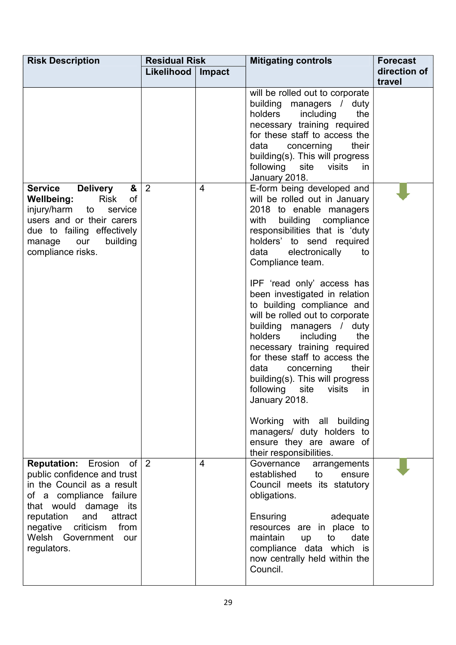| <b>Risk Description</b>                                                                                                                                                                                                                                      | <b>Residual Risk</b> |                | <b>Mitigating controls</b>                                                                                                                                                                                                                                                                                                                | <b>Forecast</b>        |
|--------------------------------------------------------------------------------------------------------------------------------------------------------------------------------------------------------------------------------------------------------------|----------------------|----------------|-------------------------------------------------------------------------------------------------------------------------------------------------------------------------------------------------------------------------------------------------------------------------------------------------------------------------------------------|------------------------|
|                                                                                                                                                                                                                                                              | Likelihood           | Impact         |                                                                                                                                                                                                                                                                                                                                           | direction of<br>travel |
|                                                                                                                                                                                                                                                              |                      |                | will be rolled out to corporate<br>building managers / duty<br>holders<br>including<br>the<br>necessary training required<br>for these staff to access the<br>concerning<br>their<br>data<br>building(s). This will progress<br>following site visits<br><i>in</i><br>January 2018.                                                       |                        |
| <b>Delivery</b><br><b>Service</b><br>&<br><b>Wellbeing:</b><br><b>Risk</b><br><b>of</b><br>injury/harm<br>to<br>service<br>users and or their carers<br>due to failing effectively<br>our<br>building<br>manage<br>compliance risks.                         | $\overline{2}$       | $\overline{4}$ | E-form being developed and<br>will be rolled out in January<br>2018 to enable managers<br>with<br>building compliance<br>responsibilities that is 'duty<br>holders' to send required<br>electronically<br>data<br>to<br>Compliance team.<br>IPF 'read only' access has<br>been investigated in relation<br>to building compliance and     |                        |
|                                                                                                                                                                                                                                                              |                      |                | will be rolled out to corporate<br>building managers / duty<br>holders including<br>the<br>necessary training required<br>for these staff to access the<br>concerning<br>data<br>their<br>building(s). This will progress<br>following<br>site<br>visits<br>in<br>January 2018.<br>Working with all building<br>managers/ duty holders to |                        |
|                                                                                                                                                                                                                                                              |                      |                | ensure they are aware of<br>their responsibilities.                                                                                                                                                                                                                                                                                       |                        |
| <b>Reputation:</b> Erosion of $ 2 $<br>public confidence and trust<br>in the Council as a result<br>of a compliance failure<br>that would damage its<br>attract<br>reputation<br>and<br>negative criticism<br>from<br>Welsh Government<br>our<br>regulators. |                      | $\overline{4}$ | Governance<br>arrangements<br>established<br>to<br>ensure<br>Council meets its statutory<br>obligations.<br>Ensuring<br>adequate<br>resources are in place to<br>maintain<br>to<br>date<br>up<br>compliance data which is<br>now centrally held within the<br>Council.                                                                    |                        |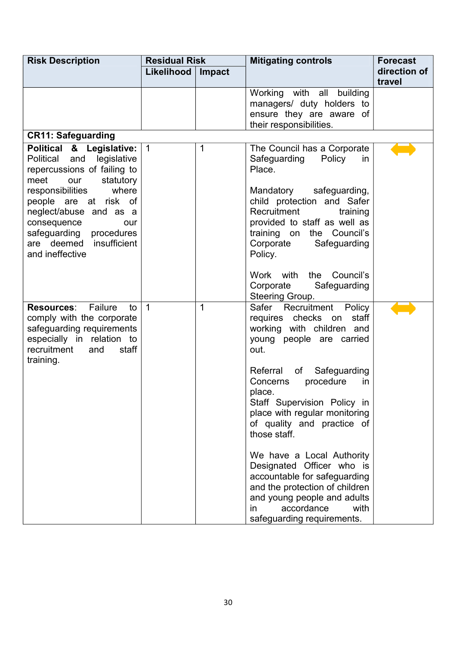| <b>Risk Description</b>                                                                                                                                                                                                                                                                         | <b>Residual Risk</b> |             | <b>Mitigating controls</b>                                                                                                                                                                                                                                                                                        | <b>Forecast</b>        |
|-------------------------------------------------------------------------------------------------------------------------------------------------------------------------------------------------------------------------------------------------------------------------------------------------|----------------------|-------------|-------------------------------------------------------------------------------------------------------------------------------------------------------------------------------------------------------------------------------------------------------------------------------------------------------------------|------------------------|
|                                                                                                                                                                                                                                                                                                 | Likelihood           | Impact      |                                                                                                                                                                                                                                                                                                                   | direction of<br>travel |
|                                                                                                                                                                                                                                                                                                 |                      |             | Working with all building<br>managers/ duty holders to<br>ensure they are aware of<br>their responsibilities.                                                                                                                                                                                                     |                        |
| <b>CR11: Safeguarding</b>                                                                                                                                                                                                                                                                       |                      |             |                                                                                                                                                                                                                                                                                                                   |                        |
| Political & Legislative:<br>Political and legislative<br>repercussions of failing to<br>statutory<br>meet<br>our<br>responsibilities<br>where<br>people are at risk of<br>neglect/abuse and as a<br>consequence<br>our<br>safeguarding procedures<br>are deemed insufficient<br>and ineffective | $\overline{1}$       | $\mathbf 1$ | The Council has a Corporate<br>Safeguarding<br>Policy<br>in<br>Place.<br>Mandatory safeguarding,<br>child protection and Safer<br>Recruitment<br>training<br>provided to staff as well as<br>training on<br>the Council's<br>Corporate<br>Safeguarding<br>Policy.                                                 |                        |
|                                                                                                                                                                                                                                                                                                 |                      |             | Council's<br>Work with<br>the<br>Corporate<br>Safeguarding<br>Steering Group.                                                                                                                                                                                                                                     |                        |
| Failure<br><b>Resources:</b><br>to<br>comply with the corporate<br>safeguarding requirements<br>especially in relation to<br>recruitment<br>staff<br>and<br>training.                                                                                                                           | $\overline{1}$       | $\mathbf 1$ | Recruitment Policy<br>Safer<br>requires checks on staff<br>working with children and<br>young people are carried<br>out.<br>Referral<br>of<br>Safeguarding<br>procedure<br>Concerns<br>in<br>place.<br>Staff Supervision Policy in<br>place with regular monitoring<br>of quality and practice of<br>those staff. |                        |
|                                                                                                                                                                                                                                                                                                 |                      |             | We have a Local Authority<br>Designated Officer who is<br>accountable for safeguarding<br>and the protection of children<br>and young people and adults<br>accordance<br>with<br>in.<br>safeguarding requirements.                                                                                                |                        |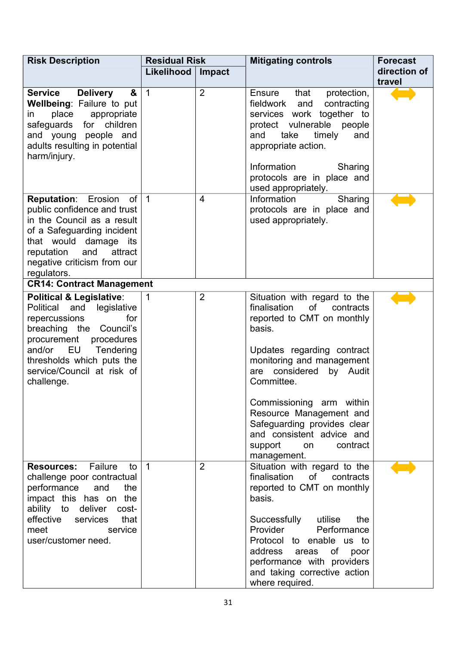| <b>Risk Description</b>                                                                                                                                                                                                                                      | <b>Residual Risk</b> |                | <b>Mitigating controls</b>                                                                                                                                                                                                                                                                                                                                                    | <b>Forecast</b>        |
|--------------------------------------------------------------------------------------------------------------------------------------------------------------------------------------------------------------------------------------------------------------|----------------------|----------------|-------------------------------------------------------------------------------------------------------------------------------------------------------------------------------------------------------------------------------------------------------------------------------------------------------------------------------------------------------------------------------|------------------------|
|                                                                                                                                                                                                                                                              | Likelihood           | Impact         |                                                                                                                                                                                                                                                                                                                                                                               | direction of<br>travel |
| <b>Delivery</b><br><b>Service</b><br>&<br><b>Wellbeing: Failure to put</b><br>place appropriate<br>in<br>safeguards for children<br>and young people and<br>adults resulting in potential<br>harm/injury.                                                    | $\overline{1}$       | $\overline{2}$ | that<br>protection,<br>Ensure<br>fieldwork and<br>contracting<br>services work together to<br>protect vulnerable people<br>take<br>timely<br>and<br>and<br>appropriate action.<br>Information<br>Sharing<br>protocols are in place and<br>used appropriately.                                                                                                                 |                        |
| <b>Reputation:</b> Erosion of 1<br>public confidence and trust<br>in the Council as a result<br>of a Safeguarding incident<br>that would damage its<br>and<br>attract<br>reputation<br>negative criticism from our<br>regulators.                            |                      | $\overline{4}$ | Information<br>Sharing<br>protocols are in place and<br>used appropriately.                                                                                                                                                                                                                                                                                                   |                        |
| <b>CR14: Contract Management</b>                                                                                                                                                                                                                             |                      |                |                                                                                                                                                                                                                                                                                                                                                                               |                        |
| <b>Political &amp; Legislative:</b><br>Political<br>legislative<br>and<br>repercussions<br>for<br>breaching the Council's<br>procurement<br>procedures<br>and/or<br>EU<br>Tendering<br>thresholds which puts the<br>service/Council at risk of<br>challenge. | $\overline{1}$       | $\overline{2}$ | Situation with regard to the<br>finalisation<br>of<br>contracts<br>reported to CMT on monthly<br>basis.<br>Updates regarding contract<br>monitoring and management<br>are considered<br>by Audit<br>Committee.<br>Commissioning arm within<br>Resource Management and<br>Safeguarding provides clear<br>and consistent advice and<br>support<br>contract<br>on<br>management. |                        |
| Failure<br><b>Resources:</b><br>to<br>challenge poor contractual<br>performance<br>and<br>the<br>impact this has on the<br>ability to<br>deliver<br>cost-<br>effective<br>that<br>services<br>meet<br>service<br>user/customer need.                         | $\overline{1}$       | $\overline{2}$ | Situation with regard to the<br>finalisation<br>of<br>contracts<br>reported to CMT on monthly<br>basis.<br>Successfully utilise<br>the<br>Provider<br>Performance<br>Protocol to enable us to<br>address<br>of<br>areas<br>poor<br>performance with providers<br>and taking corrective action<br>where required.                                                              |                        |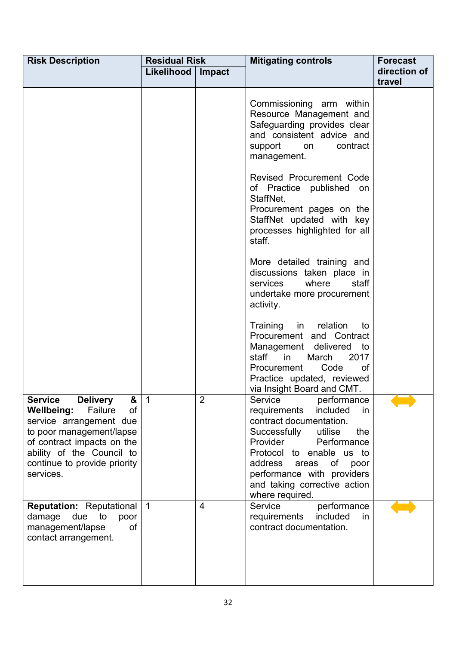| <b>Risk Description</b>                                                                                                                                                                                                                     | <b>Residual Risk</b> |        | <b>Mitigating controls</b>                                                                                                                                                                                                                                                                       | <b>Forecast</b>        |
|---------------------------------------------------------------------------------------------------------------------------------------------------------------------------------------------------------------------------------------------|----------------------|--------|--------------------------------------------------------------------------------------------------------------------------------------------------------------------------------------------------------------------------------------------------------------------------------------------------|------------------------|
|                                                                                                                                                                                                                                             | Likelihood           | Impact |                                                                                                                                                                                                                                                                                                  | direction of<br>travel |
|                                                                                                                                                                                                                                             |                      |        | Commissioning arm within<br>Resource Management and<br>Safeguarding provides clear<br>and consistent advice and<br>support<br>contract<br>on<br>management.                                                                                                                                      |                        |
|                                                                                                                                                                                                                                             |                      |        | Revised Procurement Code<br>of Practice published on<br>StaffNet.<br>Procurement pages on the<br>StaffNet updated with key<br>processes highlighted for all<br>staff.                                                                                                                            |                        |
|                                                                                                                                                                                                                                             |                      |        | More detailed training and<br>discussions taken place in<br>where<br>staff<br>services<br>undertake more procurement<br>activity.                                                                                                                                                                |                        |
|                                                                                                                                                                                                                                             |                      |        | in relation<br>Training<br>to<br>Procurement and Contract<br>Management delivered<br>to<br>staff<br>$\mathsf{in}$<br>2017<br>March<br>Procurement<br>Code<br>0f<br>Practice updated, reviewed<br>via Insight Board and CMT.                                                                      |                        |
| <b>Service</b><br><b>Delivery</b><br>&<br>Failure<br>of<br><b>Wellbeing:</b><br>service arrangement due<br>to poor management/lapse<br>of contract impacts on the<br>ability of the Council to<br>continue to provide priority<br>services. | $\overline{1}$       | 2      | Service<br>performance<br>requirements<br>included<br>in.<br>contract documentation.<br>Successfully<br>utilise<br>the<br>Provider<br>Performance<br>Protocol to enable us to<br>address<br>of<br>poor<br>areas<br>performance with providers<br>and taking corrective action<br>where required. |                        |
| <b>Reputation:</b> Reputational   1<br>damage<br>due to<br>poor<br>of<br>management/lapse<br>contact arrangement.                                                                                                                           |                      | 4      | performance<br>Service<br>requirements<br>included<br>in.<br>contract documentation.                                                                                                                                                                                                             |                        |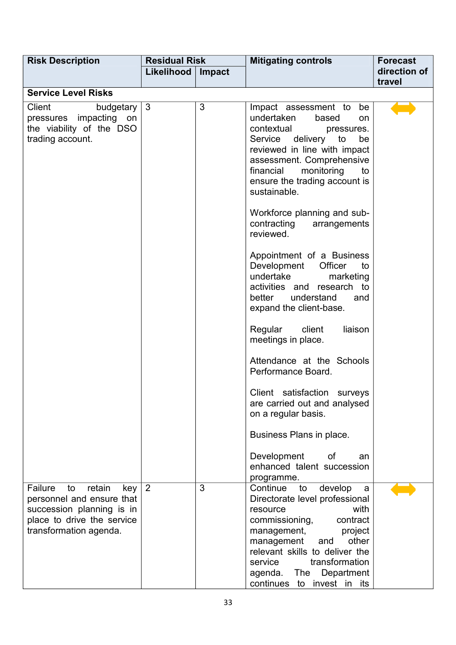| <b>Risk Description</b>                                                                                                                          | <b>Residual Risk</b> |                                                                                                                                                                                                                                                                                                                                                                                                                                                                                                                        | <b>Mitigating controls</b>                                                                                                                                                                                                                                                                              | <b>Forecast</b>        |
|--------------------------------------------------------------------------------------------------------------------------------------------------|----------------------|------------------------------------------------------------------------------------------------------------------------------------------------------------------------------------------------------------------------------------------------------------------------------------------------------------------------------------------------------------------------------------------------------------------------------------------------------------------------------------------------------------------------|---------------------------------------------------------------------------------------------------------------------------------------------------------------------------------------------------------------------------------------------------------------------------------------------------------|------------------------|
|                                                                                                                                                  | Likelihood           | Impact                                                                                                                                                                                                                                                                                                                                                                                                                                                                                                                 |                                                                                                                                                                                                                                                                                                         | direction of<br>travel |
| <b>Service Level Risks</b>                                                                                                                       |                      |                                                                                                                                                                                                                                                                                                                                                                                                                                                                                                                        |                                                                                                                                                                                                                                                                                                         |                        |
| <b>Client</b><br>budgetary<br>pressures impacting<br>on<br>the viability of the DSO<br>trading account.                                          | 3<br>$\mathbf{3}$    | Impact assessment to<br>be<br>undertaken<br>based<br>on<br>contextual<br>pressures.<br>Service delivery to<br>be<br>reviewed in line with impact<br>assessment. Comprehensive<br>financial<br>monitoring<br>to<br>ensure the trading account is<br>sustainable.<br>Workforce planning and sub-<br>contracting<br>arrangements<br>reviewed.<br>Appointment of a Business<br>Development<br>Officer<br>to<br>undertake<br>marketing<br>activities and research to<br>better understand<br>and<br>expand the client-base. |                                                                                                                                                                                                                                                                                                         |                        |
|                                                                                                                                                  |                      |                                                                                                                                                                                                                                                                                                                                                                                                                                                                                                                        | liaison<br>Regular<br>client<br>meetings in place.                                                                                                                                                                                                                                                      |                        |
|                                                                                                                                                  |                      |                                                                                                                                                                                                                                                                                                                                                                                                                                                                                                                        | Attendance at the Schools<br>Performance Board.                                                                                                                                                                                                                                                         |                        |
|                                                                                                                                                  |                      |                                                                                                                                                                                                                                                                                                                                                                                                                                                                                                                        | Client satisfaction surveys<br>are carried out and analysed<br>on a regular basis.                                                                                                                                                                                                                      |                        |
|                                                                                                                                                  |                      |                                                                                                                                                                                                                                                                                                                                                                                                                                                                                                                        | Business Plans in place.                                                                                                                                                                                                                                                                                |                        |
|                                                                                                                                                  |                      |                                                                                                                                                                                                                                                                                                                                                                                                                                                                                                                        | Development of<br>an<br>enhanced talent succession<br>programme.                                                                                                                                                                                                                                        |                        |
| Failure<br>retain<br>to<br>key<br>personnel and ensure that<br>succession planning is in<br>place to drive the service<br>transformation agenda. | $\sqrt{2}$           | 3                                                                                                                                                                                                                                                                                                                                                                                                                                                                                                                      | Continue<br>develop<br>to<br>a<br>Directorate level professional<br>with<br>resource<br>contract<br>commissioning,<br>management,<br>project<br>other<br>management<br>and<br>relevant skills to deliver the<br>transformation<br>service<br>agenda. The<br>Department<br>to invest in its<br>continues |                        |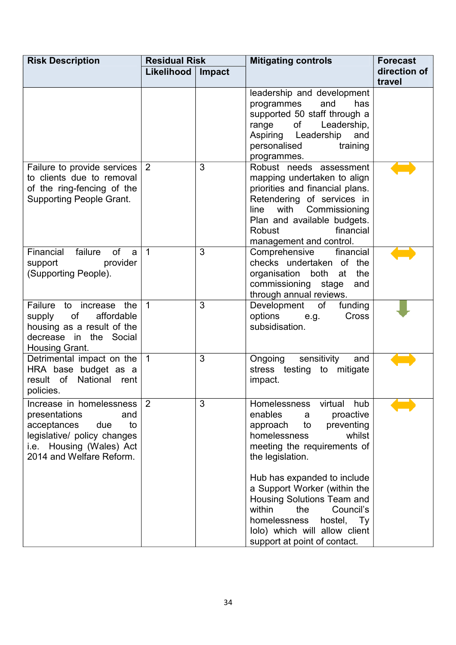| <b>Risk Description</b>                                                                                                                                             | <b>Residual Risk</b> |        | <b>Mitigating controls</b>                                                                                                                                                                                                                | <b>Forecast</b>        |
|---------------------------------------------------------------------------------------------------------------------------------------------------------------------|----------------------|--------|-------------------------------------------------------------------------------------------------------------------------------------------------------------------------------------------------------------------------------------------|------------------------|
|                                                                                                                                                                     | Likelihood           | Impact |                                                                                                                                                                                                                                           | direction of<br>travel |
|                                                                                                                                                                     |                      |        | leadership and development<br>and<br>has<br>programmes<br>supported 50 staff through a<br>Leadership,<br>range<br>of<br>Aspiring Leadership<br>and<br>personalised<br>training<br>programmes.                                             |                        |
| Failure to provide services<br>to clients due to removal<br>of the ring-fencing of the<br><b>Supporting People Grant.</b>                                           | 2                    | 3      | Robust needs assessment<br>mapping undertaken to align<br>priorities and financial plans.<br>Retendering of services in<br>with<br>Commissioning<br>line<br>Plan and available budgets.<br>Robust<br>financial<br>management and control. |                        |
| Financial failure<br><b>of</b><br>a<br>support<br>provider<br>(Supporting People).                                                                                  | $\mathbf{1}$         | 3      | Comprehensive<br>financial<br>checks undertaken of the<br>organisation both at<br>the<br>commissioning stage<br>and<br>through annual reviews.                                                                                            |                        |
| Failure to increase the<br>affordable<br>of<br>supply<br>housing as a result of the<br>decrease in the Social<br>Housing Grant.                                     | $\overline{1}$       | 3      | Development<br>of<br>funding<br>options e.g.<br>Cross<br>subsidisation.                                                                                                                                                                   |                        |
| Detrimental impact on the<br>HRA base budget as a<br>result of National rent<br>policies.                                                                           | $\overline{1}$       | 3      | sensitivity<br>Ongoing<br>and<br>stress testing to mitigate<br>impact.                                                                                                                                                                    |                        |
| Increase in homelessness<br>presentations<br>and<br>acceptances<br>to<br>due<br>legislative/ policy changes<br>i.e. Housing (Wales) Act<br>2014 and Welfare Reform. | 2                    | 3      | Homelessness<br>virtual<br>hub<br>enables<br>proactive<br>a<br>approach<br>to<br>preventing<br>homelessness<br>whilst<br>meeting the requirements of<br>the legislation.                                                                  |                        |
|                                                                                                                                                                     |                      |        | Hub has expanded to include<br>a Support Worker (within the<br>Housing Solutions Team and<br>within<br>the<br>Council's<br>homelessness<br>hostel, Ty<br>lolo) which will allow client<br>support at point of contact.                    |                        |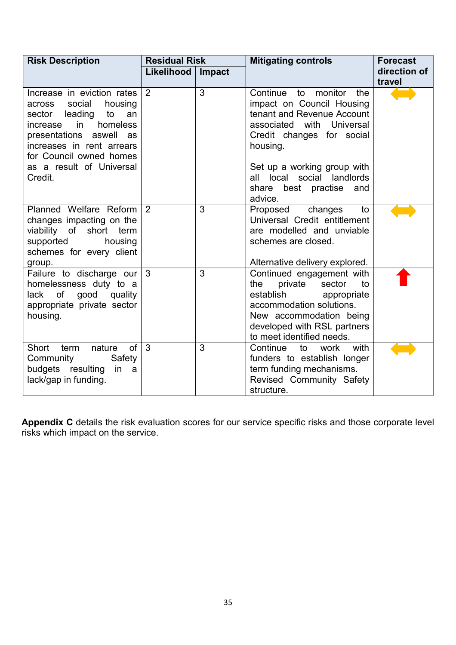| <b>Risk Description</b>                                                                                                                                                                                                                      | <b>Residual Risk</b> |        | <b>Mitigating controls</b>                                                                                                                                                                                                                                        | <b>Forecast</b>        |
|----------------------------------------------------------------------------------------------------------------------------------------------------------------------------------------------------------------------------------------------|----------------------|--------|-------------------------------------------------------------------------------------------------------------------------------------------------------------------------------------------------------------------------------------------------------------------|------------------------|
|                                                                                                                                                                                                                                              | Likelihood           | Impact |                                                                                                                                                                                                                                                                   | direction of<br>travel |
| Increase in eviction rates<br>across social<br>housing<br>sector leading<br>to<br>an<br>homeless<br>in<br>increase<br>presentations aswell as<br>increases in rent arrears<br>for Council owned homes<br>as a result of Universal<br>Credit. | 2                    | 3      | Continue<br>to monitor<br>the<br>impact on Council Housing<br>tenant and Revenue Account<br>associated with Universal<br>Credit changes for social<br>housing.<br>Set up a working group with<br>all local social landlords<br>share best practise and<br>advice. |                        |
| Planned Welfare Reform<br>changes impacting on the<br>viability of short term<br>supported<br>housing<br>schemes for every client<br>group.                                                                                                  | 2                    | 3      | Proposed changes<br>to<br>Universal Credit entitlement<br>are modelled and unviable<br>schemes are closed.<br>Alternative delivery explored.                                                                                                                      |                        |
| Failure to discharge our<br>homelessness duty to a<br>lack of good quality<br>appropriate private sector<br>housing.                                                                                                                         | $\mathbf{3}$         | 3      | Continued engagement with<br>private<br>sector<br>the<br>to<br>establish<br>appropriate<br>accommodation solutions.<br>New accommodation being<br>developed with RSL partners<br>to meet identified needs.                                                        |                        |
| of<br>Short<br>term<br>nature<br>Community<br>Safety<br>budgets resulting<br>in<br>a<br>lack/gap in funding.                                                                                                                                 | 3                    | 3      | with<br>Continue<br>work<br>to<br>funders to establish longer<br>term funding mechanisms.<br>Revised Community Safety<br>structure.                                                                                                                               |                        |

**Appendix C** details the risk evaluation scores for our service specific risks and those corporate level risks which impact on the service.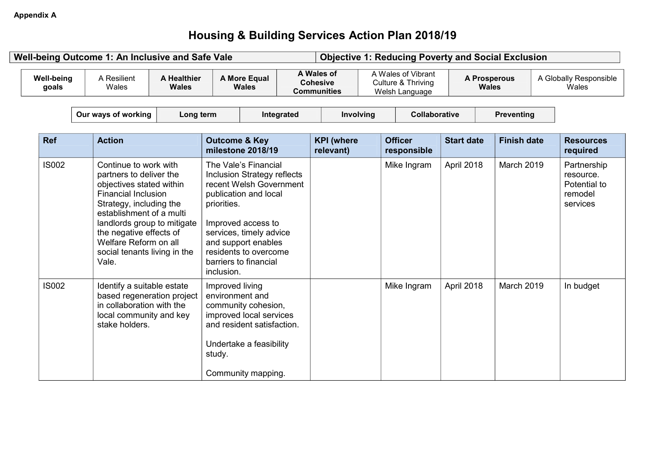## **Housing & Building Services Action Plan 2018/19**

|                            | Well-being Outcome 1: An Inclusive and Safe Vale                                                                                                                                                                                                                                              |                             |                                              |                                                                                                                                                                                                                                   |            |                                                     | <b>Objective 1: Reducing Poverty and Social Exclusion</b>  |                   |                                     |                                                                 |
|----------------------------|-----------------------------------------------------------------------------------------------------------------------------------------------------------------------------------------------------------------------------------------------------------------------------------------------|-----------------------------|----------------------------------------------|-----------------------------------------------------------------------------------------------------------------------------------------------------------------------------------------------------------------------------------|------------|-----------------------------------------------------|------------------------------------------------------------|-------------------|-------------------------------------|-----------------------------------------------------------------|
| <b>Well-being</b><br>goals | A Resilient<br>Wales                                                                                                                                                                                                                                                                          | A Healthier<br><b>Wales</b> |                                              | A More Equal<br><b>Wales</b>                                                                                                                                                                                                      |            | A Wales of<br><b>Cohesive</b><br><b>Communities</b> | A Wales of Vibrant<br>Culture & Thriving<br>Welsh Language |                   | <b>A Prosperous</b><br><b>Wales</b> | A Globally Responsible<br>Wales                                 |
|                            | Our ways of working                                                                                                                                                                                                                                                                           | Long term                   |                                              |                                                                                                                                                                                                                                   | Integrated | Involving                                           | Collaborative                                              |                   | <b>Preventing</b>                   |                                                                 |
| <b>Ref</b>                 | <b>Action</b>                                                                                                                                                                                                                                                                                 |                             | <b>Outcome &amp; Key</b>                     | milestone 2018/19                                                                                                                                                                                                                 |            | <b>KPI</b> (where<br>relevant)                      | <b>Officer</b><br>responsible                              | <b>Start date</b> | <b>Finish date</b>                  | <b>Resources</b><br>required                                    |
| <b>IS002</b>               | Continue to work with<br>partners to deliver the<br>objectives stated within<br><b>Financial Inclusion</b><br>Strategy, including the<br>establishment of a multi<br>landlords group to mitigate<br>the negative effects of<br>Welfare Reform on all<br>social tenants living in the<br>Vale. |                             | priorities.<br>inclusion.                    | The Vale's Financial<br>Inclusion Strategy reflects<br>recent Welsh Government<br>publication and local<br>Improved access to<br>services, timely advice<br>and support enables<br>residents to overcome<br>barriers to financial |            |                                                     | Mike Ingram                                                | April 2018        | March 2019                          | Partnership<br>resource.<br>Potential to<br>remodel<br>services |
| <b>IS002</b>               | Identify a suitable estate<br>based regeneration project<br>in collaboration with the<br>local community and key<br>stake holders.                                                                                                                                                            |                             | Improved living<br>environment and<br>study. | community cohesion,<br>improved local services<br>and resident satisfaction.<br>Undertake a feasibility<br>Community mapping.                                                                                                     |            |                                                     | Mike Ingram                                                | April 2018        | March 2019                          | In budget                                                       |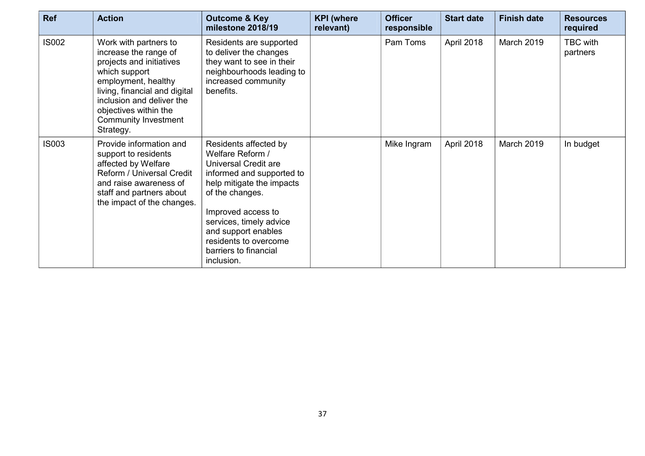| <b>Ref</b>   | <b>Action</b>                                                                                                                                                                                                                                  | <b>Outcome &amp; Key</b><br>milestone 2018/19                                                                                                                                                                                                                                          | <b>KPI</b> (where<br>relevant) | <b>Officer</b><br>responsible | <b>Start date</b> | <b>Finish date</b> | <b>Resources</b><br>required |
|--------------|------------------------------------------------------------------------------------------------------------------------------------------------------------------------------------------------------------------------------------------------|----------------------------------------------------------------------------------------------------------------------------------------------------------------------------------------------------------------------------------------------------------------------------------------|--------------------------------|-------------------------------|-------------------|--------------------|------------------------------|
| <b>IS002</b> | Work with partners to<br>increase the range of<br>projects and initiatives<br>which support<br>employment, healthy<br>living, financial and digital<br>inclusion and deliver the<br>objectives within the<br>Community Investment<br>Strategy. | Residents are supported<br>to deliver the changes<br>they want to see in their<br>neighbourhoods leading to<br>increased community<br>benefits.                                                                                                                                        |                                | Pam Toms                      | April 2018        | March 2019         | <b>TBC</b> with<br>partners  |
| <b>IS003</b> | Provide information and<br>support to residents<br>affected by Welfare<br>Reform / Universal Credit<br>and raise awareness of<br>staff and partners about<br>the impact of the changes.                                                        | Residents affected by<br>Welfare Reform /<br>Universal Credit are<br>informed and supported to<br>help mitigate the impacts<br>of the changes.<br>Improved access to<br>services, timely advice<br>and support enables<br>residents to overcome<br>barriers to financial<br>inclusion. |                                | Mike Ingram                   | April 2018        | March 2019         | In budget                    |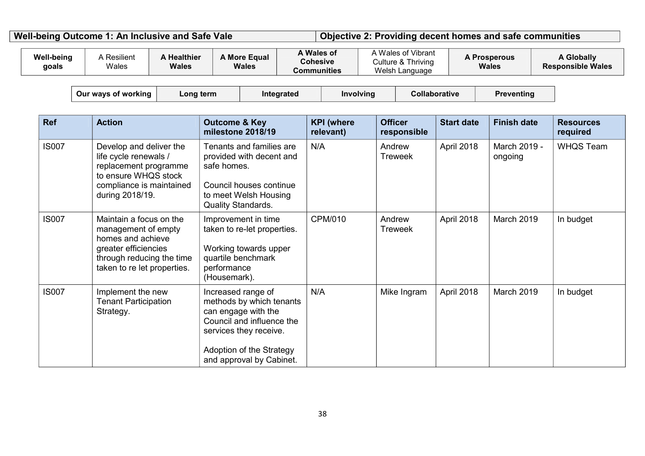Well-being Outcome 1: An Inclusive and Safe Vale **Digective 2: Providing decent homes and safe communities** 

| <b>Well-being</b><br>goals | A Resilient<br>Wales                                                                                                                                    | <b>A Healthier</b><br>Wales | A More Equal<br><b>Wales</b>                                                                                                                                                         |            | A Wales of<br><b>Cohesive</b><br><b>Communities</b> |                          | A Wales of Vibrant<br>Culture & Thriving<br>Welsh Language |                      | <b>A Prosperous</b><br>Wales | <b>A Globally</b><br><b>Responsible Wales</b> |
|----------------------------|---------------------------------------------------------------------------------------------------------------------------------------------------------|-----------------------------|--------------------------------------------------------------------------------------------------------------------------------------------------------------------------------------|------------|-----------------------------------------------------|--------------------------|------------------------------------------------------------|----------------------|------------------------------|-----------------------------------------------|
|                            | Our ways of working                                                                                                                                     | Long term                   |                                                                                                                                                                                      | Integrated | Involving                                           |                          |                                                            | <b>Collaborative</b> | <b>Preventing</b>            |                                               |
| <b>Ref</b>                 | <b>Action</b>                                                                                                                                           |                             | <b>Outcome &amp; Key</b><br>milestone 2018/19                                                                                                                                        |            | <b>KPI</b> (where<br>relevant)                      | <b>Officer</b>           | responsible                                                | <b>Start date</b>    | <b>Finish date</b>           | <b>Resources</b><br>required                  |
| <b>IS007</b>               | Develop and deliver the<br>life cycle renewals /<br>replacement programme<br>to ensure WHQS stock<br>compliance is maintained<br>during 2018/19.        |                             | Tenants and families are<br>provided with decent and<br>safe homes.<br>Council houses continue<br>to meet Welsh Housing<br><b>Quality Standards.</b>                                 |            | N/A                                                 | Andrew<br><b>Treweek</b> |                                                            | April 2018           | March 2019 -<br>ongoing      | <b>WHQS Team</b>                              |
| <b>IS007</b>               | Maintain a focus on the<br>management of empty<br>homes and achieve<br>greater efficiencies<br>through reducing the time<br>taken to re let properties. |                             | Improvement in time<br>taken to re-let properties.<br>Working towards upper<br>quartile benchmark<br>performance<br>(Housemark).                                                     |            | <b>CPM/010</b>                                      | Andrew<br><b>Treweek</b> |                                                            | April 2018           | March 2019                   | In budget                                     |
| <b>IS007</b>               | Implement the new<br><b>Tenant Participation</b><br>Strategy.                                                                                           |                             | Increased range of<br>methods by which tenants<br>can engage with the<br>Council and influence the<br>services they receive.<br>Adoption of the Strategy<br>and approval by Cabinet. |            | N/A                                                 |                          | Mike Ingram                                                | April 2018           | March 2019                   | In budget                                     |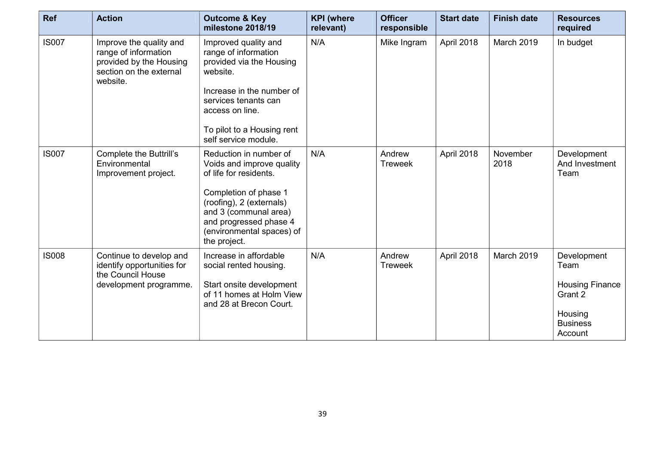| <b>Ref</b>   | <b>Action</b>                                                                                                     | <b>Outcome &amp; Key</b><br>milestone 2018/19                                                                                                                                                                                      | <b>KPI</b> (where<br>relevant) | <b>Officer</b><br>responsible | <b>Start date</b> | <b>Finish date</b> | <b>Resources</b><br>required                                                                      |
|--------------|-------------------------------------------------------------------------------------------------------------------|------------------------------------------------------------------------------------------------------------------------------------------------------------------------------------------------------------------------------------|--------------------------------|-------------------------------|-------------------|--------------------|---------------------------------------------------------------------------------------------------|
| <b>IS007</b> | Improve the quality and<br>range of information<br>provided by the Housing<br>section on the external<br>website. | Improved quality and<br>range of information<br>provided via the Housing<br>website.<br>Increase in the number of<br>services tenants can<br>access on line.<br>To pilot to a Housing rent<br>self service module.                 | N/A                            | Mike Ingram                   | April 2018        | March 2019         | In budget                                                                                         |
| <b>IS007</b> | <b>Complete the Buttrill's</b><br>Environmental<br>Improvement project.                                           | Reduction in number of<br>Voids and improve quality<br>of life for residents.<br>Completion of phase 1<br>(roofing), 2 (externals)<br>and 3 (communal area)<br>and progressed phase 4<br>(environmental spaces) of<br>the project. | N/A                            | Andrew<br><b>Treweek</b>      | April 2018        | November<br>2018   | Development<br>And Investment<br>Team                                                             |
| <b>IS008</b> | Continue to develop and<br>identify opportunities for<br>the Council House<br>development programme.              | Increase in affordable<br>social rented housing.<br>Start onsite development<br>of 11 homes at Holm View<br>and 28 at Brecon Court.                                                                                                | N/A                            | Andrew<br><b>Treweek</b>      | April 2018        | <b>March 2019</b>  | Development<br>Team<br><b>Housing Finance</b><br>Grant 2<br>Housing<br><b>Business</b><br>Account |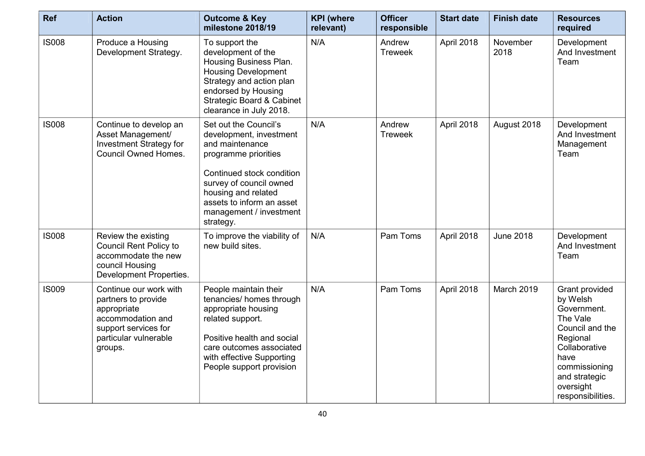| <b>Ref</b>   | <b>Action</b>                                                                                                                                 | <b>Outcome &amp; Key</b><br>milestone 2018/19                                                                                                                                                                                                   | <b>KPI</b> (where<br>relevant) | <b>Officer</b><br>responsible | <b>Start date</b> | <b>Finish date</b> | <b>Resources</b><br>required                                                                                                                                                      |
|--------------|-----------------------------------------------------------------------------------------------------------------------------------------------|-------------------------------------------------------------------------------------------------------------------------------------------------------------------------------------------------------------------------------------------------|--------------------------------|-------------------------------|-------------------|--------------------|-----------------------------------------------------------------------------------------------------------------------------------------------------------------------------------|
| <b>IS008</b> | Produce a Housing<br>Development Strategy.                                                                                                    | To support the<br>development of the<br>Housing Business Plan.<br><b>Housing Development</b><br>Strategy and action plan<br>endorsed by Housing<br><b>Strategic Board &amp; Cabinet</b><br>clearance in July 2018.                              | N/A                            | Andrew<br><b>Treweek</b>      | April 2018        | November<br>2018   | Development<br>And Investment<br>Team                                                                                                                                             |
| <b>IS008</b> | Continue to develop an<br>Asset Management/<br><b>Investment Strategy for</b><br><b>Council Owned Homes.</b>                                  | Set out the Council's<br>development, investment<br>and maintenance<br>programme priorities<br>Continued stock condition<br>survey of council owned<br>housing and related<br>assets to inform an asset<br>management / investment<br>strategy. | N/A                            | Andrew<br><b>Treweek</b>      | April 2018        | August 2018        | Development<br>And Investment<br>Management<br>Team                                                                                                                               |
| <b>IS008</b> | Review the existing<br><b>Council Rent Policy to</b><br>accommodate the new<br>council Housing<br>Development Properties.                     | To improve the viability of<br>new build sites.                                                                                                                                                                                                 | N/A                            | Pam Toms                      | April 2018        | <b>June 2018</b>   | Development<br>And Investment<br>Team                                                                                                                                             |
| <b>IS009</b> | Continue our work with<br>partners to provide<br>appropriate<br>accommodation and<br>support services for<br>particular vulnerable<br>groups. | People maintain their<br>tenancies/ homes through<br>appropriate housing<br>related support.<br>Positive health and social<br>care outcomes associated<br>with effective Supporting<br>People support provision                                 | N/A                            | Pam Toms                      | April 2018        | March 2019         | Grant provided<br>by Welsh<br>Government.<br>The Vale<br>Council and the<br>Regional<br>Collaborative<br>have<br>commissioning<br>and strategic<br>oversight<br>responsibilities. |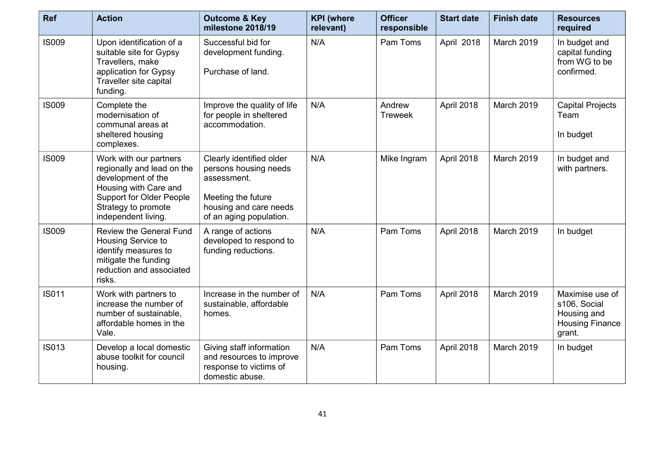| <b>Ref</b>   | <b>Action</b>                                                                                                                                                                        | <b>Outcome &amp; Key</b><br>milestone 2018/19                                                                                               | <b>KPI</b> (where<br>relevant) | <b>Officer</b><br>responsible | <b>Start date</b> | <b>Finish date</b> | <b>Resources</b><br>required                                                       |
|--------------|--------------------------------------------------------------------------------------------------------------------------------------------------------------------------------------|---------------------------------------------------------------------------------------------------------------------------------------------|--------------------------------|-------------------------------|-------------------|--------------------|------------------------------------------------------------------------------------|
| <b>IS009</b> | Upon identification of a<br>suitable site for Gypsy<br>Travellers, make<br>application for Gypsy<br>Traveller site capital<br>funding.                                               | Successful bid for<br>development funding.<br>Purchase of land.                                                                             | N/A                            | Pam Toms                      | April 2018        | March 2019         | In budget and<br>capital funding<br>from WG to be<br>confirmed.                    |
| <b>IS009</b> | Complete the<br>modernisation of<br>communal areas at<br>sheltered housing<br>complexes.                                                                                             | Improve the quality of life<br>for people in sheltered<br>accommodation.                                                                    | N/A                            | Andrew<br><b>Treweek</b>      | April 2018        | March 2019         | <b>Capital Projects</b><br>Team<br>In budget                                       |
| <b>IS009</b> | Work with our partners<br>regionally and lead on the<br>development of the<br>Housing with Care and<br><b>Support for Older People</b><br>Strategy to promote<br>independent living. | Clearly identified older<br>persons housing needs<br>assessment.<br>Meeting the future<br>housing and care needs<br>of an aging population. | N/A                            | Mike Ingram                   | April 2018        | <b>March 2019</b>  | In budget and<br>with partners.                                                    |
| <b>IS009</b> | <b>Review the General Fund</b><br>Housing Service to<br>identify measures to<br>mitigate the funding<br>reduction and associated<br>risks.                                           | A range of actions<br>developed to respond to<br>funding reductions.                                                                        | N/A                            | Pam Toms                      | April 2018        | March 2019         | In budget                                                                          |
| <b>IS011</b> | Work with partners to<br>increase the number of<br>number of sustainable,<br>affordable homes in the<br>Vale.                                                                        | Increase in the number of<br>sustainable, affordable<br>homes.                                                                              | N/A                            | Pam Toms                      | April 2018        | March 2019         | Maximise use of<br>s106, Social<br>Housing and<br><b>Housing Finance</b><br>grant. |
| <b>IS013</b> | Develop a local domestic<br>abuse toolkit for council<br>housing.                                                                                                                    | Giving staff information<br>and resources to improve<br>response to victims of<br>domestic abuse.                                           | N/A                            | Pam Toms                      | April 2018        | March 2019         | In budget                                                                          |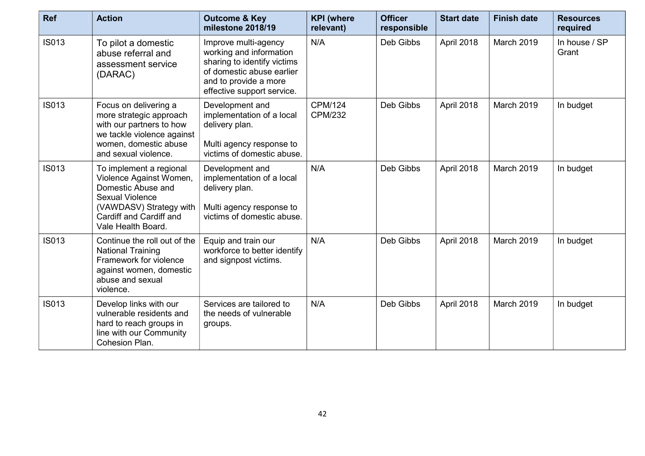| <b>Ref</b>   | <b>Action</b>                                                                                                                                                                  | <b>Outcome &amp; Key</b><br>milestone 2018/19                                                                                                                      | <b>KPI</b> (where<br>relevant)   | <b>Officer</b><br>responsible | <b>Start date</b> | <b>Finish date</b> | <b>Resources</b><br>required |
|--------------|--------------------------------------------------------------------------------------------------------------------------------------------------------------------------------|--------------------------------------------------------------------------------------------------------------------------------------------------------------------|----------------------------------|-------------------------------|-------------------|--------------------|------------------------------|
| <b>IS013</b> | To pilot a domestic<br>abuse referral and<br>assessment service<br>(DARAC)                                                                                                     | Improve multi-agency<br>working and information<br>sharing to identify victims<br>of domestic abuse earlier<br>and to provide a more<br>effective support service. | N/A                              | Deb Gibbs                     | April 2018        | March 2019         | In house / SP<br>Grant       |
| <b>IS013</b> | Focus on delivering a<br>more strategic approach<br>with our partners to how<br>we tackle violence against<br>women, domestic abuse<br>and sexual violence.                    | Development and<br>implementation of a local<br>delivery plan.<br>Multi agency response to<br>victims of domestic abuse.                                           | <b>CPM/124</b><br><b>CPM/232</b> | Deb Gibbs                     | April 2018        | March 2019         | In budget                    |
| <b>IS013</b> | To implement a regional<br>Violence Against Women,<br>Domestic Abuse and<br><b>Sexual Violence</b><br>(VAWDASV) Strategy with<br>Cardiff and Cardiff and<br>Vale Health Board. | Development and<br>implementation of a local<br>delivery plan.<br>Multi agency response to<br>victims of domestic abuse.                                           | N/A                              | Deb Gibbs                     | April 2018        | March 2019         | In budget                    |
| <b>IS013</b> | Continue the roll out of the<br><b>National Training</b><br>Framework for violence<br>against women, domestic<br>abuse and sexual<br>violence.                                 | Equip and train our<br>workforce to better identify<br>and signpost victims.                                                                                       | N/A                              | Deb Gibbs                     | April 2018        | March 2019         | In budget                    |
| <b>IS013</b> | Develop links with our<br>vulnerable residents and<br>hard to reach groups in<br>line with our Community<br>Cohesion Plan.                                                     | Services are tailored to<br>the needs of vulnerable<br>groups.                                                                                                     | N/A                              | Deb Gibbs                     | April 2018        | March 2019         | In budget                    |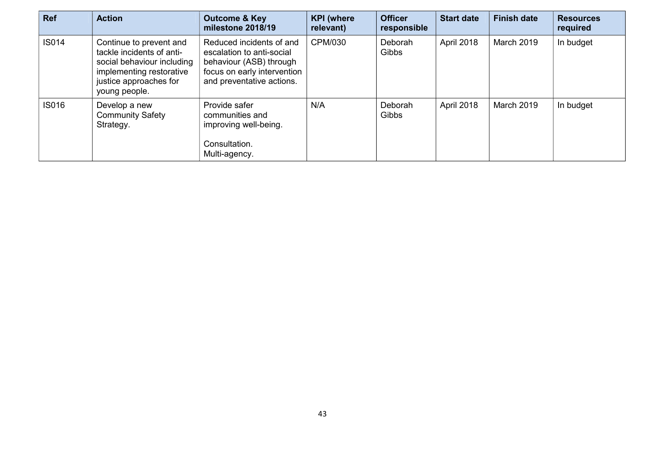| Ref          | <b>Action</b>                                                                                                                                             | <b>Outcome &amp; Key</b><br>milestone 2018/19                                                                                                | <b>KPI</b> (where<br>relevant) | <b>Officer</b><br>responsible | <b>Start date</b> | <b>Finish date</b> | <b>Resources</b><br>required |
|--------------|-----------------------------------------------------------------------------------------------------------------------------------------------------------|----------------------------------------------------------------------------------------------------------------------------------------------|--------------------------------|-------------------------------|-------------------|--------------------|------------------------------|
| <b>IS014</b> | Continue to prevent and<br>tackle incidents of anti-<br>social behaviour including<br>implementing restorative<br>justice approaches for<br>young people. | Reduced incidents of and<br>escalation to anti-social<br>behaviour (ASB) through<br>focus on early intervention<br>and preventative actions. | CPM/030                        | Deborah<br>Gibbs              | April 2018        | March 2019         | In budget                    |
| <b>IS016</b> | Develop a new<br><b>Community Safety</b><br>Strategy.                                                                                                     | Provide safer<br>communities and<br>improving well-being.<br>Consultation.<br>Multi-agency.                                                  | N/A                            | Deborah<br>Gibbs              | April 2018        | March 2019         | In budget                    |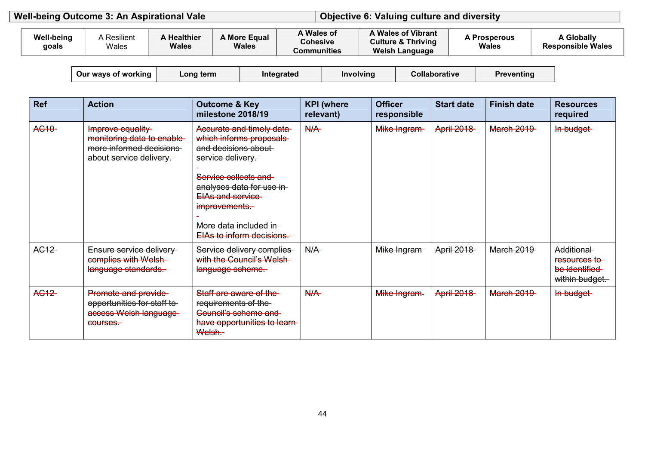| Well-being Outcome 3: An Aspirational Vale |                            |                      |                                    |                              |                                              | <b>Objective 6: Valuing culture and diversity</b>                            |                              |                                        |
|--------------------------------------------|----------------------------|----------------------|------------------------------------|------------------------------|----------------------------------------------|------------------------------------------------------------------------------|------------------------------|----------------------------------------|
|                                            |                            |                      |                                    |                              |                                              |                                                                              |                              |                                        |
|                                            | <b>Well-being</b><br>goals | Resilient ،<br>Wales | <b>A Healthier</b><br><b>Wales</b> | A More Equal<br><b>Wales</b> | A Wales of<br><b>Cohesive</b><br>Communities | A Wales of Vibrant<br><b>Culture &amp; Thriving</b><br><b>Welsh Language</b> | <b>A Prosperous</b><br>Wales | A Globally<br><b>Responsible Wales</b> |

| Our ways of working | Lona term | ™egrateg | Involving | Collaborative | Preventing |
|---------------------|-----------|----------|-----------|---------------|------------|
|---------------------|-----------|----------|-----------|---------------|------------|

| <b>Ref</b>         | <b>Action</b>                                                                                        | <b>Outcome &amp; Key</b><br>milestone 2018/19                                                                                                                                                                                                           | <b>KPI</b> (where<br>relevant) | <b>Officer</b><br>responsible | <b>Start date</b> | <b>Finish date</b> | <b>Resources</b><br>required                                  |
|--------------------|------------------------------------------------------------------------------------------------------|---------------------------------------------------------------------------------------------------------------------------------------------------------------------------------------------------------------------------------------------------------|--------------------------------|-------------------------------|-------------------|--------------------|---------------------------------------------------------------|
| AC <sub>10</sub> - | Improve equality<br>monitoring data to enable-<br>more informed decisions<br>about service delivery. | Accurate and timely data-<br>which informs proposals<br>and decisions about<br>service delivery.<br>Service collects and<br>analyses data for use in-<br><b>EIAs and service</b><br>improvements.<br>More data included in<br>EIAs to inform decisions. | N/A                            | Mike Ingram-                  | <b>April 2018</b> | <b>March 2019</b>  | In budget                                                     |
| AC <sub>12</sub>   | Ensure service delivery-<br>complies with Welsh-<br>language standards.                              | Service delivery complies<br>with the Council's Welsh-<br>language scheme.                                                                                                                                                                              | N/A                            | Mike Ingram-                  | <b>April 2018</b> | <b>March 2019</b>  | Additional<br>resources to<br>be identified<br>within budget. |
| AC <sub>12</sub>   | Promote and provide<br>opportunities for staff to<br>access Welsh language<br>courses.               | Staff are aware of the-<br>requirements of the-<br>Council's scheme and<br>have opportunities to learn-<br>Welsh.-                                                                                                                                      | N/A                            | Mike Ingram-                  | <b>April 2018</b> | <b>March 2019</b>  | In budget                                                     |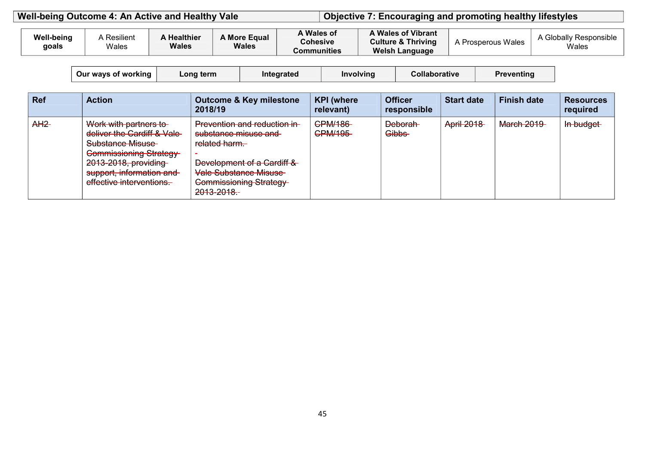| Well-being Outcome 4: An Active and Healthy Vale | Objective 7: Encouraging and promoting healthy lifestyles |
|--------------------------------------------------|-----------------------------------------------------------|
|                                                  |                                                           |

| <b>Well-being</b><br>goals | A Resilient<br>Wales | <b>Healthier</b><br><b>Wales</b> | <b>A More Equal</b><br><b>Wales</b> | A Wales of<br><b>Cohesive</b><br>Communities | <b>A Wales of Vibrant</b><br><b>Culture &amp; Thriving</b><br><b>Welsh Language</b> | <b>Prosperous Wales</b> | ، Globally Responsible<br>Wales |
|----------------------------|----------------------|----------------------------------|-------------------------------------|----------------------------------------------|-------------------------------------------------------------------------------------|-------------------------|---------------------------------|
|----------------------------|----------------------|----------------------------------|-------------------------------------|----------------------------------------------|-------------------------------------------------------------------------------------|-------------------------|---------------------------------|

| ∟ong term ∶<br>Our ways of working<br>Intearated | Involving | Collaborative | Preventing |
|--------------------------------------------------|-----------|---------------|------------|
|--------------------------------------------------|-----------|---------------|------------|

| <b>Ref</b> | <b>Action</b>                                                                                                                                                                             | <b>Outcome &amp; Key milestone</b><br>2018/19                                                                                                                                                                                                  | <b>KPI</b> (where<br>relevant)                  | <b>Officer</b><br>responsible  | <b>Start date</b> | <b>Finish date</b> | <b>Resources</b><br>required |
|------------|-------------------------------------------------------------------------------------------------------------------------------------------------------------------------------------------|------------------------------------------------------------------------------------------------------------------------------------------------------------------------------------------------------------------------------------------------|-------------------------------------------------|--------------------------------|-------------------|--------------------|------------------------------|
| $AH2-$     | Work with partners to<br>deliver the Cardiff & Vale-<br><b>Substance Misuse</b><br>Commissioning Strategy<br>2013-2018, providing<br>support, information and<br>effective interventions. | Prevention and reduction in-<br>cubetance micues and<br><u>Supsianut Thisust and</u><br>rolated harm<br>r <del>ciatcu nam.</del><br>Development of a Cardiff &<br><b>Vale Substance Misuse</b><br><b>Commissioning Strategy</b><br>2013-2018.- | <b>CPM/186</b><br>CDM/405<br><del>UMW 199</del> | <b>Deborah</b><br><b>Gibbs</b> | <b>April 2018</b> | <b>March 2019</b>  | In budget                    |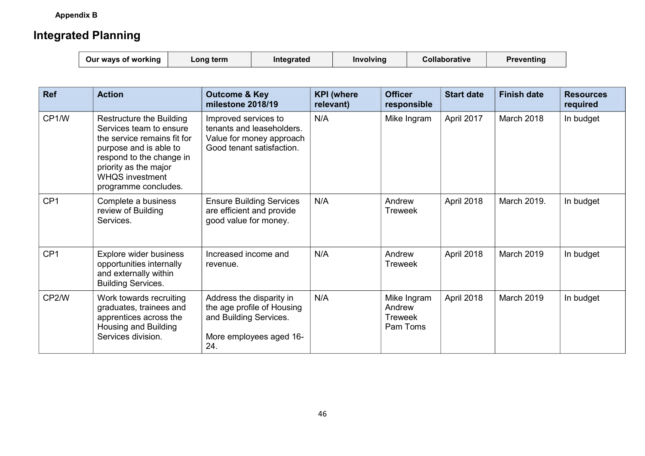**Appendix B** 

### **Integrated Planning**

| ∠ong term<br>Our ways of working | Integrated | Involving | <b>Collaborative</b> | Preventing |
|----------------------------------|------------|-----------|----------------------|------------|
|----------------------------------|------------|-----------|----------------------|------------|

| Ref             | <b>Action</b>                                                                                                                                                                                                       | <b>Outcome &amp; Key</b><br>milestone 2018/19                                                                      | <b>KPI</b> (where<br>relevant) | <b>Officer</b><br>responsible                       | <b>Start date</b> | <b>Finish date</b> | <b>Resources</b><br>required |
|-----------------|---------------------------------------------------------------------------------------------------------------------------------------------------------------------------------------------------------------------|--------------------------------------------------------------------------------------------------------------------|--------------------------------|-----------------------------------------------------|-------------------|--------------------|------------------------------|
| CP1/W           | Restructure the Building<br>Services team to ensure<br>the service remains fit for<br>purpose and is able to<br>respond to the change in<br>priority as the major<br><b>WHQS investment</b><br>programme concludes. | Improved services to<br>tenants and leaseholders.<br>Value for money approach<br>Good tenant satisfaction.         | N/A                            | Mike Ingram                                         | April 2017        | March 2018         | In budget                    |
| CP <sub>1</sub> | Complete a business<br>review of Building<br>Services.                                                                                                                                                              | <b>Ensure Building Services</b><br>are efficient and provide<br>good value for money.                              | N/A                            | Andrew<br><b>Treweek</b>                            | April 2018        | March 2019.        | In budget                    |
| CP <sub>1</sub> | Explore wider business<br>opportunities internally<br>and externally within<br><b>Building Services.</b>                                                                                                            | Increased income and<br>revenue.                                                                                   | N/A                            | Andrew<br><b>Treweek</b>                            | April 2018        | March 2019         | In budget                    |
| CP2/W           | Work towards recruiting<br>graduates, trainees and<br>apprentices across the<br>Housing and Building<br>Services division.                                                                                          | Address the disparity in<br>the age profile of Housing<br>and Building Services.<br>More employees aged 16-<br>24. | N/A                            | Mike Ingram<br>Andrew<br><b>Treweek</b><br>Pam Toms | April 2018        | March 2019         | In budget                    |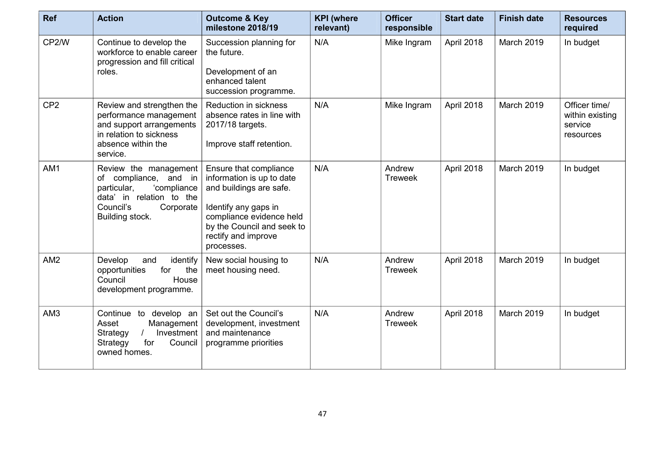| <b>Ref</b>      | <b>Action</b>                                                                                                                                         | <b>Outcome &amp; Key</b><br>milestone 2018/19                                                                                                                                                         | <b>KPI</b> (where<br>relevant) | <b>Officer</b><br>responsible | <b>Start date</b> | <b>Finish date</b> | <b>Resources</b><br>required                             |
|-----------------|-------------------------------------------------------------------------------------------------------------------------------------------------------|-------------------------------------------------------------------------------------------------------------------------------------------------------------------------------------------------------|--------------------------------|-------------------------------|-------------------|--------------------|----------------------------------------------------------|
| CP2/W           | Continue to develop the<br>workforce to enable career<br>progression and fill critical<br>roles.                                                      | Succession planning for<br>the future.<br>Development of an<br>enhanced talent<br>succession programme.                                                                                               | N/A                            | Mike Ingram                   | April 2018        | March 2019         | In budget                                                |
| CP <sub>2</sub> | Review and strengthen the<br>performance management<br>and support arrangements<br>in relation to sickness<br>absence within the<br>service.          | Reduction in sickness<br>absence rates in line with<br>2017/18 targets.<br>Improve staff retention.                                                                                                   | N/A                            | Mike Ingram                   | April 2018        | March 2019         | Officer time/<br>within existing<br>service<br>resources |
| AM1             | Review the management<br>of compliance, and in<br>'compliance<br>particular,<br>data' in relation to the<br>Council's<br>Corporate<br>Building stock. | Ensure that compliance<br>information is up to date<br>and buildings are safe.<br>Identify any gaps in<br>compliance evidence held<br>by the Council and seek to<br>rectify and improve<br>processes. | N/A                            | Andrew<br><b>Treweek</b>      | April 2018        | March 2019         | In budget                                                |
| AM2             | Develop<br>identify<br>and<br>the<br>for<br>opportunities<br>Council<br>House<br>development programme.                                               | New social housing to<br>meet housing need.                                                                                                                                                           | N/A                            | Andrew<br><b>Treweek</b>      | April 2018        | March 2019         | In budget                                                |
| AM <sub>3</sub> | Continue to develop an<br>Asset<br>Management<br>Investment<br>Strategy<br>for<br>Strategy<br>Council<br>owned homes.                                 | Set out the Council's<br>development, investment<br>and maintenance<br>programme priorities                                                                                                           | N/A                            | Andrew<br><b>Treweek</b>      | April 2018        | March 2019         | In budget                                                |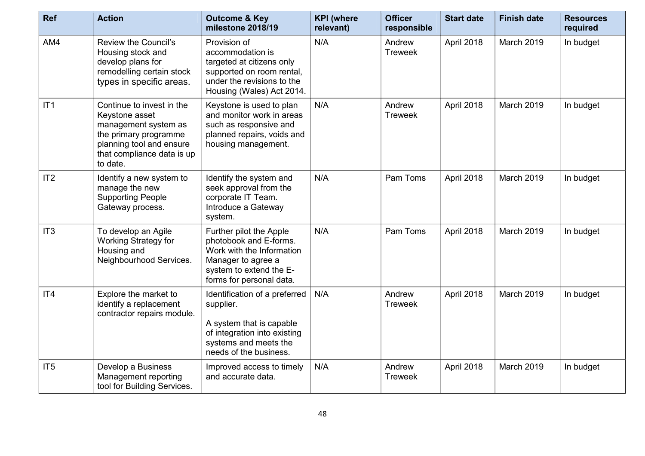| <b>Ref</b>      | <b>Action</b>                                                                                                                                                      | <b>Outcome &amp; Key</b><br>milestone 2018/19                                                                                                               | <b>KPI</b> (where<br>relevant) | <b>Officer</b><br>responsible | <b>Start date</b> | <b>Finish date</b> | <b>Resources</b><br>required |
|-----------------|--------------------------------------------------------------------------------------------------------------------------------------------------------------------|-------------------------------------------------------------------------------------------------------------------------------------------------------------|--------------------------------|-------------------------------|-------------------|--------------------|------------------------------|
| AM4             | Review the Council's<br>Housing stock and<br>develop plans for<br>remodelling certain stock<br>types in specific areas.                                            | Provision of<br>accommodation is<br>targeted at citizens only<br>supported on room rental,<br>under the revisions to the<br>Housing (Wales) Act 2014.       | N/A                            | Andrew<br><b>Treweek</b>      | April 2018        | March 2019         | In budget                    |
| IT1             | Continue to invest in the<br>Keystone asset<br>management system as<br>the primary programme<br>planning tool and ensure<br>that compliance data is up<br>to date. | Keystone is used to plan<br>and monitor work in areas<br>such as responsive and<br>planned repairs, voids and<br>housing management.                        | N/A                            | Andrew<br><b>Treweek</b>      | April 2018        | <b>March 2019</b>  | In budget                    |
| IT2             | Identify a new system to<br>manage the new<br><b>Supporting People</b><br>Gateway process.                                                                         | Identify the system and<br>seek approval from the<br>corporate IT Team.<br>Introduce a Gateway<br>system.                                                   | N/A                            | Pam Toms                      | April 2018        | <b>March 2019</b>  | In budget                    |
| IT <sub>3</sub> | To develop an Agile<br><b>Working Strategy for</b><br>Housing and<br>Neighbourhood Services.                                                                       | Further pilot the Apple<br>photobook and E-forms.<br>Work with the Information<br>Manager to agree a<br>system to extend the E-<br>forms for personal data. | N/A                            | Pam Toms                      | April 2018        | March 2019         | In budget                    |
| IT4             | Explore the market to<br>identify a replacement<br>contractor repairs module.                                                                                      | Identification of a preferred<br>supplier.<br>A system that is capable<br>of integration into existing<br>systems and meets the<br>needs of the business.   | N/A                            | Andrew<br><b>Treweek</b>      | April 2018        | March 2019         | In budget                    |
| IT <sub>5</sub> | Develop a Business<br>Management reporting<br>tool for Building Services.                                                                                          | Improved access to timely<br>and accurate data.                                                                                                             | N/A                            | Andrew<br><b>Treweek</b>      | April 2018        | <b>March 2019</b>  | In budget                    |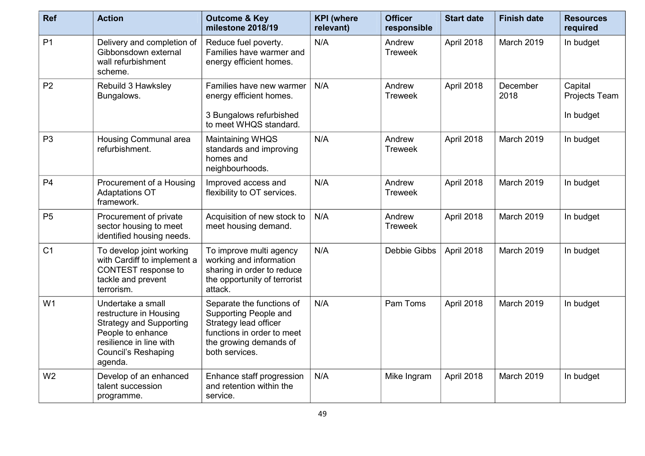| <b>Ref</b>     | <b>Action</b>                                                                                                                                                          | <b>Outcome &amp; Key</b><br>milestone 2018/19                                                                                                         | <b>KPI</b> (where<br>relevant) | <b>Officer</b><br>responsible | <b>Start date</b> | <b>Finish date</b> | <b>Resources</b><br>required          |
|----------------|------------------------------------------------------------------------------------------------------------------------------------------------------------------------|-------------------------------------------------------------------------------------------------------------------------------------------------------|--------------------------------|-------------------------------|-------------------|--------------------|---------------------------------------|
| P <sub>1</sub> | Delivery and completion of<br>Gibbonsdown external<br>wall refurbishment<br>scheme.                                                                                    | Reduce fuel poverty.<br>Families have warmer and<br>energy efficient homes.                                                                           | N/A                            | Andrew<br><b>Treweek</b>      | April 2018        | <b>March 2019</b>  | In budget                             |
| P <sub>2</sub> | Rebuild 3 Hawksley<br>Bungalows.                                                                                                                                       | Families have new warmer<br>energy efficient homes.<br>3 Bungalows refurbished                                                                        | N/A                            | Andrew<br><b>Treweek</b>      | April 2018        | December<br>2018   | Capital<br>Projects Team<br>In budget |
|                |                                                                                                                                                                        | to meet WHQS standard.                                                                                                                                |                                |                               |                   |                    |                                       |
| P <sub>3</sub> | Housing Communal area<br>refurbishment.                                                                                                                                | Maintaining WHQS<br>standards and improving<br>homes and<br>neighbourhoods.                                                                           | N/A                            | Andrew<br><b>Treweek</b>      | April 2018        | March 2019         | In budget                             |
| P <sub>4</sub> | Procurement of a Housing<br><b>Adaptations OT</b><br>framework.                                                                                                        | Improved access and<br>flexibility to OT services.                                                                                                    | N/A                            | Andrew<br><b>Treweek</b>      | April 2018        | March 2019         | In budget                             |
| P <sub>5</sub> | Procurement of private<br>sector housing to meet<br>identified housing needs.                                                                                          | Acquisition of new stock to<br>meet housing demand.                                                                                                   | N/A                            | Andrew<br><b>Treweek</b>      | April 2018        | March 2019         | In budget                             |
| C <sub>1</sub> | To develop joint working<br>with Cardiff to implement a<br>CONTEST response to<br>tackle and prevent<br>terrorism.                                                     | To improve multi agency<br>working and information<br>sharing in order to reduce<br>the opportunity of terrorist<br>attack.                           | N/A                            | Debbie Gibbs                  | April 2018        | March 2019         | In budget                             |
| W1             | Undertake a small<br>restructure in Housing<br><b>Strategy and Supporting</b><br>People to enhance<br>resilience in line with<br><b>Council's Reshaping</b><br>agenda. | Separate the functions of<br>Supporting People and<br>Strategy lead officer<br>functions in order to meet<br>the growing demands of<br>both services. | N/A                            | Pam Toms                      | April 2018        | March 2019         | In budget                             |
| W <sub>2</sub> | Develop of an enhanced<br>talent succession<br>programme.                                                                                                              | Enhance staff progression<br>and retention within the<br>service.                                                                                     | N/A                            | Mike Ingram                   | April 2018        | March 2019         | In budget                             |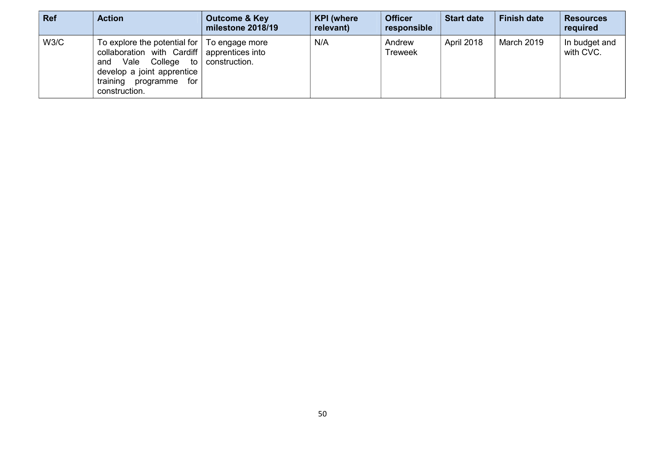| <b>Ref</b> | <b>Action</b>                                                                                                                                                                                            | <b>Outcome &amp; Key</b><br>milestone 2018/19 | <b>KPI</b> (where<br>relevant) | <b>Officer</b><br>responsible | <b>Start date</b> | <b>Finish date</b> | <b>Resources</b><br>required |
|------------|----------------------------------------------------------------------------------------------------------------------------------------------------------------------------------------------------------|-----------------------------------------------|--------------------------------|-------------------------------|-------------------|--------------------|------------------------------|
| W3/C       | To explore the potential for $\vert$ To engage more<br>collaboration with Cardiff apprentices into<br>Vale<br>College to<br>and<br>develop a joint apprentice<br>training programme for<br>construction. | construction.                                 | N/A                            | Andrew<br><b>Treweek</b>      | April 2018        | March 2019         | In budget and<br>with CVC.   |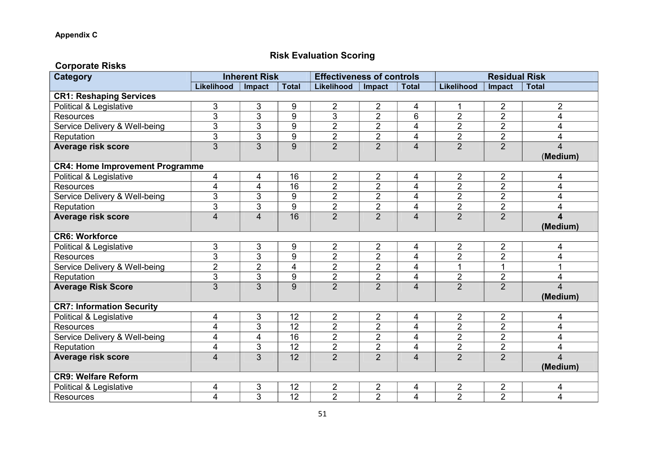#### **Risk Evaluation Scoring**

| <b>Corporate Risks</b>                 |                         |                      |                 |                                  |                |                         |                         |                      |                         |
|----------------------------------------|-------------------------|----------------------|-----------------|----------------------------------|----------------|-------------------------|-------------------------|----------------------|-------------------------|
| <b>Category</b>                        |                         | <b>Inherent Risk</b> |                 | <b>Effectiveness of controls</b> |                |                         |                         | <b>Residual Risk</b> |                         |
|                                        | Likelihood              | Impact               | <b>Total</b>    | Likelihood                       | Impact         | <b>Total</b>            | Likelihood              | Impact               | <b>Total</b>            |
| <b>CR1: Reshaping Services</b>         |                         |                      |                 |                                  |                |                         |                         |                      |                         |
| Political & Legislative                | 3                       | 3                    | 9               | $\overline{2}$                   | $\overline{2}$ | 4                       | 1                       | $\overline{2}$       | $\overline{2}$          |
| <b>Resources</b>                       | 3                       | 3                    | 9               | 3                                | $\overline{2}$ | 6                       | $\overline{2}$          | $\overline{2}$       | 4                       |
| Service Delivery & Well-being          | 3                       | 3                    | 9               | 2                                | 2              | 4                       | $\overline{2}$          | $\overline{2}$       | 4                       |
| Reputation                             | 3                       | $\overline{3}$       | 9               | $\overline{2}$                   | $\overline{2}$ | 4                       | $\overline{2}$          | $\overline{2}$       | 4                       |
| <b>Average risk score</b>              | $\overline{3}$          | $\overline{3}$       | 9               | $\overline{2}$                   | $\overline{2}$ | $\overline{4}$          | $\overline{2}$          | $\overline{2}$       | 4                       |
|                                        |                         |                      |                 |                                  |                |                         |                         |                      | (Medium)                |
| <b>CR4: Home Improvement Programme</b> |                         |                      |                 |                                  |                |                         |                         |                      |                         |
| Political & Legislative                | 4                       | 4                    | 16              | $\overline{2}$                   | $\overline{2}$ | 4                       | $\overline{\mathbf{c}}$ | $\overline{2}$       | 4                       |
| <b>Resources</b>                       | 4                       | $\overline{4}$       | 16              | $\overline{2}$                   | $\overline{2}$ | $\overline{4}$          | $\overline{2}$          | $\overline{2}$       | 4                       |
| Service Delivery & Well-being          | 3                       | 3                    | 9               | $\overline{2}$                   | $\overline{2}$ | $\overline{4}$          | $\overline{2}$          | $\overline{2}$       | 4                       |
| Reputation                             | 3                       | 3                    | 9               | $\overline{2}$                   | $\overline{2}$ | $\overline{\mathbf{4}}$ | $\overline{2}$          | $\overline{2}$       | 4                       |
| <b>Average risk score</b>              | $\overline{\mathbf{4}}$ | $\overline{4}$       | $\overline{16}$ | $\overline{2}$                   | $\overline{2}$ | $\overline{4}$          | $\overline{2}$          | $\overline{2}$       | $\overline{\mathbf{4}}$ |
|                                        |                         |                      |                 |                                  |                |                         |                         |                      | (Medium)                |
| <b>CR6: Workforce</b>                  |                         |                      |                 |                                  |                |                         |                         |                      |                         |
| Political & Legislative                | 3                       | $\mathfrak{S}$       | 9               | $\overline{2}$                   | $\overline{2}$ | 4                       | $\overline{2}$          | 2                    | 4                       |
| Resources                              | 3                       | 3                    | 9               | $\overline{2}$                   | $\overline{2}$ | $\overline{4}$          | $\overline{2}$          | $\overline{2}$       | 4                       |
| Service Delivery & Well-being          | $\overline{2}$          | $\overline{2}$       | 4               | $\overline{2}$                   | $\overline{2}$ | $\overline{4}$          | 1                       | $\mathbf{1}$         | 1                       |
| Reputation                             | $\overline{3}$          | $\overline{3}$       | 9               | $\overline{2}$                   | $\overline{2}$ | $\overline{\mathbf{4}}$ | $\overline{2}$          | $\overline{2}$       | 4                       |
| <b>Average Risk Score</b>              | $\overline{3}$          | $\overline{3}$       | $\overline{9}$  | $\overline{2}$                   | $\overline{2}$ | $\overline{4}$          | $\overline{2}$          | $\overline{2}$       | $\overline{4}$          |
|                                        |                         |                      |                 |                                  |                |                         |                         |                      | (Medium)                |
| <b>CR7: Information Security</b>       |                         |                      |                 |                                  |                |                         |                         |                      |                         |
| Political & Legislative                | 4                       | 3                    | 12              | $\overline{2}$                   | $\overline{2}$ | 4                       | $\overline{2}$          | 2                    | 4                       |
| <b>Resources</b>                       | 4                       | $\overline{3}$       | 12              | $\overline{2}$                   | $\overline{2}$ | $\overline{4}$          | $\overline{2}$          | $\overline{2}$       | 4                       |
| Service Delivery & Well-being          | 4                       | 4                    | 16              | $\overline{2}$                   | $\overline{2}$ | $\overline{\mathbf{4}}$ | $\overline{2}$          | $\overline{2}$       | 4                       |
| Reputation                             | 4                       | 3                    | 12              | $\overline{2}$                   | $\overline{2}$ | $\overline{\mathbf{4}}$ | $\overline{2}$          | $\overline{2}$       | 4                       |
| <b>Average risk score</b>              | $\overline{4}$          | 3                    | 12              | $\overline{2}$                   | $\overline{2}$ | $\overline{4}$          | $\overline{2}$          | $\overline{2}$       | 4                       |
|                                        |                         |                      |                 |                                  |                |                         |                         |                      | (Medium)                |
| <b>CR9: Welfare Reform</b>             |                         |                      |                 |                                  |                |                         |                         |                      |                         |
| Political & Legislative                | 4                       | 3                    | 12              | $\overline{2}$                   | 2              | 4                       | $\overline{\mathbf{c}}$ | 2                    | 4                       |
| <b>Resources</b>                       | 4                       | 3                    | 12              | $\overline{2}$                   | $\overline{2}$ | $\overline{4}$          | $\overline{2}$          | $\overline{2}$       | 4                       |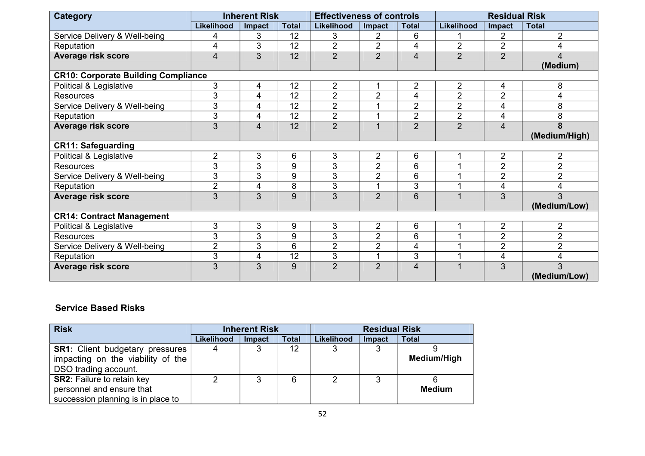| <b>Category</b>                            |                | <b>Inherent Risk</b> |              | <b>Effectiveness of controls</b> |                |                | <b>Residual Risk</b>    |                         |                |
|--------------------------------------------|----------------|----------------------|--------------|----------------------------------|----------------|----------------|-------------------------|-------------------------|----------------|
|                                            | Likelihood     | Impact               | <b>Total</b> | <b>Likelihood</b>                | Impact         | <b>Total</b>   | Likelihood              | Impact                  | <b>Total</b>   |
| Service Delivery & Well-being              | 4              | 3                    | 12           | 3                                | 2              | 6              |                         | 2                       | $\overline{2}$ |
| Reputation                                 | 4              | 3                    | 12           | $\overline{2}$                   | $\overline{2}$ | 4              | $\overline{2}$          | $\overline{2}$          | 4              |
| <b>Average risk score</b>                  | $\overline{4}$ | 3                    | 12           | $\overline{2}$                   | $\overline{2}$ | $\overline{4}$ | $\overline{2}$          | $\overline{2}$          | 4              |
|                                            |                |                      |              |                                  |                |                |                         |                         | (Medium)       |
| <b>CR10: Corporate Building Compliance</b> |                |                      |              |                                  |                |                |                         |                         |                |
| Political & Legislative                    | 3              | 4                    | 12           | $\overline{2}$                   | 1              | $\overline{2}$ | $\overline{2}$          | 4                       | 8              |
| <b>Resources</b>                           | 3              | 4                    | 12           | $\overline{2}$                   | $\overline{2}$ | 4              | $\overline{2}$          | $\overline{2}$          | 4              |
| Service Delivery & Well-being              | 3              | 4                    | 12           | $\overline{2}$                   | 1              | $\overline{2}$ | $\overline{2}$          | 4                       | 8              |
| Reputation                                 | 3              | 4                    | 12           | $\overline{2}$                   |                | $\overline{2}$ | $\overline{2}$          | 4                       | 8              |
| Average risk score                         | $\overline{3}$ | $\overline{4}$       | 12           | $\overline{2}$                   | $\overline{1}$ | $\overline{2}$ | $\overline{2}$          | $\overline{\mathbf{4}}$ | 8              |
|                                            |                |                      |              |                                  |                |                |                         |                         | (Medium/High)  |
| <b>CR11: Safeguarding</b>                  |                |                      |              |                                  |                |                |                         |                         |                |
| Political & Legislative                    | $\overline{2}$ | 3                    | 6            | 3                                | $\overline{2}$ | 6              |                         | $\overline{2}$          | $\overline{2}$ |
| <b>Resources</b>                           | 3              | 3                    | 9            | 3                                | $\overline{2}$ | 6              |                         | $\overline{2}$          | $\overline{2}$ |
| Service Delivery & Well-being              | 3              | 3                    | 9            | 3                                | $\overline{2}$ | 6              |                         | $\overline{2}$          | $\overline{2}$ |
| Reputation                                 | $\overline{2}$ | 4                    | 8            | $\mathfrak{S}$                   | $\overline{ }$ | 3              |                         | 4                       | 4              |
| <b>Average risk score</b>                  | 3              | 3                    | 9            | 3                                | $\overline{2}$ | 6              | $\overline{1}$          | 3                       | 3              |
|                                            |                |                      |              |                                  |                |                |                         |                         | (Medium/Low)   |
| <b>CR14: Contract Management</b>           |                |                      |              |                                  |                |                |                         |                         |                |
| Political & Legislative                    | 3              | 3                    | 9            | 3                                | $\overline{2}$ | 6              |                         | $\overline{2}$          | 2              |
| <b>Resources</b>                           | 3              | 3                    | 9            | 3                                | $\overline{2}$ | 6              |                         | $\overline{2}$          | $\overline{2}$ |
| Service Delivery & Well-being              | $\overline{2}$ | 3                    | 6            | $\overline{2}$                   | $\overline{2}$ | 4              |                         | $\overline{2}$          | $\overline{2}$ |
| Reputation                                 | 3              | 4                    | 12           | $\mathbf{3}$                     | $\overline{A}$ | 3              |                         | 4                       | 4              |
| Average risk score                         | 3              | 3                    | 9            | $\overline{2}$                   | $\overline{2}$ | $\overline{4}$ | $\overline{\mathbf{A}}$ | 3                       | 3              |
|                                            |                |                      |              |                                  |                |                |                         |                         | (Medium/Low)   |

#### **Service Based Risks**

| <b>Risk</b>                            | <b>Inherent Risk</b> |        |              |            | <b>Residual Risk</b> |               |  |  |
|----------------------------------------|----------------------|--------|--------------|------------|----------------------|---------------|--|--|
|                                        | <b>Likelihood</b>    | Impact | <b>Total</b> | Likelihood | Impact               | <b>Total</b>  |  |  |
| <b>SR1:</b> Client budgetary pressures |                      |        | 12           | 3          | 3                    |               |  |  |
| impacting on the viability of the      |                      |        |              |            |                      | Medium/High   |  |  |
| DSO trading account.                   |                      |        |              |            |                      |               |  |  |
| <b>SR2: Failure to retain key</b>      |                      | 3      | 6            | າ          | ິ                    |               |  |  |
| personnel and ensure that              |                      |        |              |            |                      | <b>Medium</b> |  |  |
| succession planning is in place to     |                      |        |              |            |                      |               |  |  |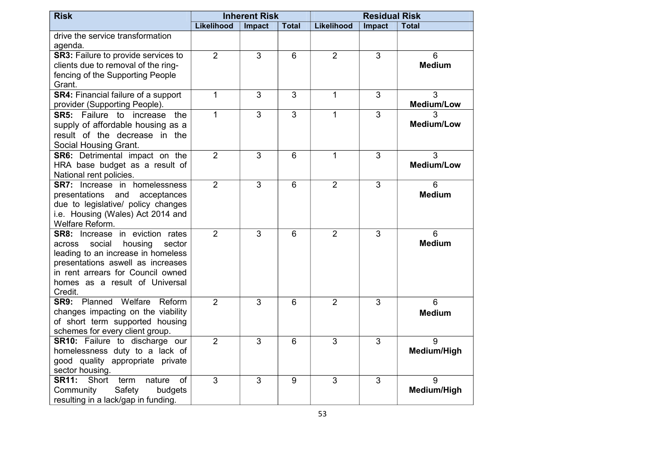| <b>Risk</b>                                                                                                                                                                                                                                  | <b>Inherent Risk</b> |                | <b>Residual Risk</b> |                |                |                         |
|----------------------------------------------------------------------------------------------------------------------------------------------------------------------------------------------------------------------------------------------|----------------------|----------------|----------------------|----------------|----------------|-------------------------|
|                                                                                                                                                                                                                                              | Likelihood           | Impact         | <b>Total</b>         | Likelihood     | Impact         | <b>Total</b>            |
| drive the service transformation<br>agenda.                                                                                                                                                                                                  |                      |                |                      |                |                |                         |
| SR3: Failure to provide services to<br>clients due to removal of the ring-<br>fencing of the Supporting People<br>Grant.                                                                                                                     | $\overline{2}$       | $\overline{3}$ | 6                    | $\overline{2}$ | 3              | 6<br><b>Medium</b>      |
| <b>SR4: Financial failure of a support</b><br>provider (Supporting People).                                                                                                                                                                  | $\overline{1}$       | 3              | 3                    | $\mathbf{1}$   | 3              | 3<br><b>Medium/Low</b>  |
| <b>SR5:</b> Failure to increase the<br>supply of affordable housing as a<br>result of the decrease in the<br>Social Housing Grant.                                                                                                           | 1                    | 3              | $\mathbf{3}$         | $\mathbf{1}$   | 3              | 3<br><b>Medium/Low</b>  |
| <b>SR6:</b> Detrimental impact on the<br>HRA base budget as a result of<br>National rent policies.                                                                                                                                           | $\overline{2}$       | $\overline{3}$ | 6                    | $\mathbf{1}$   | 3              | 3<br><b>Medium/Low</b>  |
| <b>SR7:</b> Increase in homelessness<br>presentations and<br>acceptances<br>due to legislative/ policy changes<br>i.e. Housing (Wales) Act 2014 and<br>Welfare Reform.                                                                       | $\overline{2}$       | $\overline{3}$ | 6                    | $\overline{2}$ | 3              | 6<br><b>Medium</b>      |
| <b>SR8:</b> Increase in eviction rates<br>social<br>housing<br>sector<br>across<br>leading to an increase in homeless<br>presentations aswell as increases<br>in rent arrears for Council owned<br>homes as a result of Universal<br>Credit. | $\overline{2}$       | 3              | 6                    | $\overline{2}$ | 3              | 6<br><b>Medium</b>      |
| <b>SR9:</b> Planned Welfare Reform<br>changes impacting on the viability<br>of short term supported housing<br>schemes for every client group.                                                                                               | $\overline{2}$       | 3              | 6                    | $\overline{2}$ | 3              | 6<br><b>Medium</b>      |
| SR10: Failure to discharge our<br>homelessness duty to a lack of<br>good quality appropriate private<br>sector housing.                                                                                                                      | $\overline{2}$       | $\overline{3}$ | $6\phantom{1}6$      | 3              | $\overline{3}$ | 9<br>Medium/High        |
| <b>SR11:</b><br>Short<br>term<br>of<br>nature<br>Community<br>Safety<br>budgets<br>resulting in a lack/gap in funding.                                                                                                                       | $\overline{3}$       | $\overline{3}$ | 9                    | 3              | 3              | 9<br><b>Medium/High</b> |